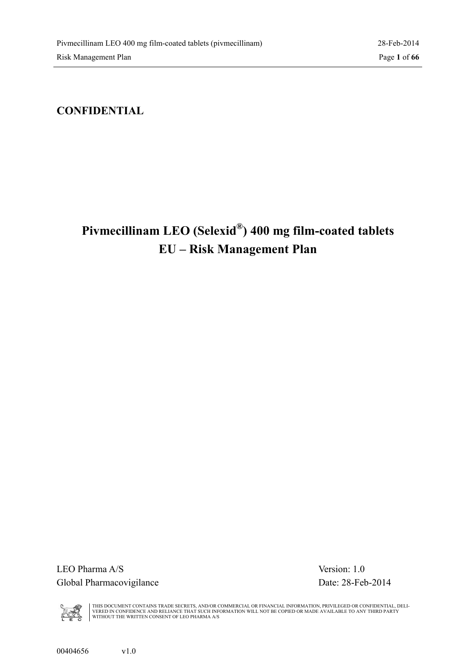### <span id="page-0-1"></span><span id="page-0-0"></span>**CONFIDENTIAL**

# **Pivmecillinam LEO (Selexid® ) 400 mg film-coated tablets EU – Risk Management Plan**

LEO Pharma A/S Version: 1.0 Global Pharmacovigilance Date: 28-Feb-2014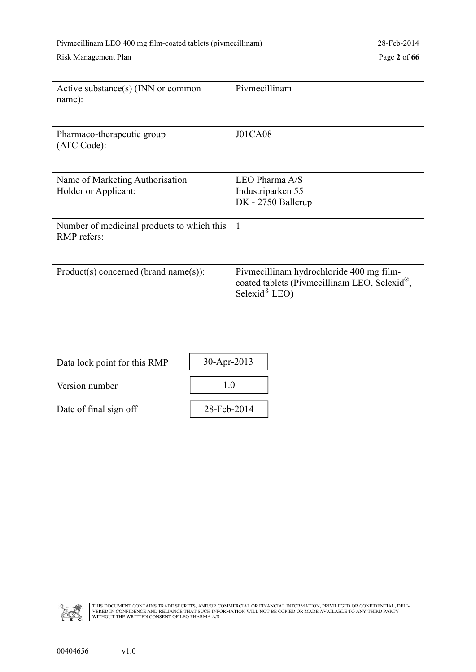| Active substance(s) $(INN)$ or common<br>name):           | Pivmecillinam                                                                                                         |
|-----------------------------------------------------------|-----------------------------------------------------------------------------------------------------------------------|
| Pharmaco-therapeutic group<br>(ATC Code):                 | <b>J01CA08</b>                                                                                                        |
| Name of Marketing Authorisation<br>Holder or Applicant:   | LEO Pharma A/S<br>Industriparken 55<br>DK - 2750 Ballerup                                                             |
| Number of medicinal products to which this<br>RMP refers: | $\mathbf{1}$                                                                                                          |
| $Product(s) concerned (brand name(s))$ :                  | Pivmecillinam hydrochloride 400 mg film-<br>coated tablets (Pivmecillinam LEO, Selexid®,<br>Selexid <sup>®</sup> LEO) |

| Data lock point for this RMP | 30-Apr-2013 |
|------------------------------|-------------|
| Version number               |             |
| Date of final sign off       | 28-Feb-2014 |
|                              |             |

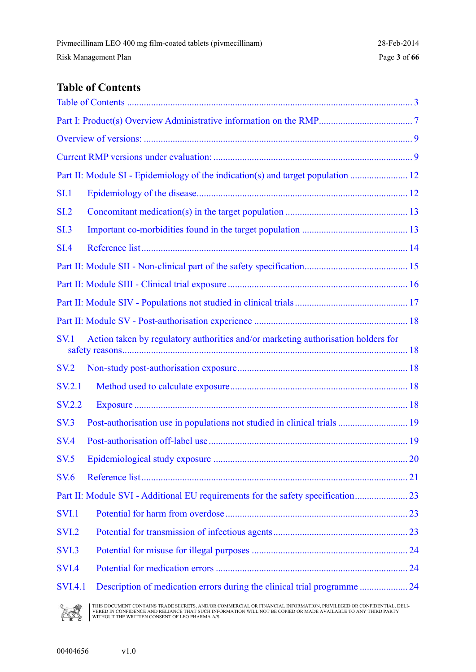### <span id="page-2-0"></span>**Table of Contents**

| <b>SI.1</b>     |                                                                                   |  |
|-----------------|-----------------------------------------------------------------------------------|--|
| SL <sub>2</sub> |                                                                                   |  |
| SI.3            |                                                                                   |  |
| <b>SI.4</b>     |                                                                                   |  |
|                 |                                                                                   |  |
|                 |                                                                                   |  |
|                 |                                                                                   |  |
|                 |                                                                                   |  |
| <b>SV.1</b>     | Action taken by regulatory authorities and/or marketing authorisation holders for |  |
| <b>SV.2</b>     |                                                                                   |  |
| <b>SV.2.1</b>   |                                                                                   |  |
| <b>SV.2.2</b>   |                                                                                   |  |
| SV.3            | Post-authorisation use in populations not studied in clinical trials  19          |  |
| <b>SV.4</b>     |                                                                                   |  |
| <b>SV.5</b>     |                                                                                   |  |
| <b>SV.6</b>     |                                                                                   |  |
|                 |                                                                                   |  |
| SVI.1           |                                                                                   |  |
| <b>SVI.2</b>    |                                                                                   |  |
| <b>SVI.3</b>    |                                                                                   |  |
| <b>SVI.4</b>    |                                                                                   |  |
| <b>SVI.4.1</b>  | Description of medication errors during the clinical trial programme  24          |  |

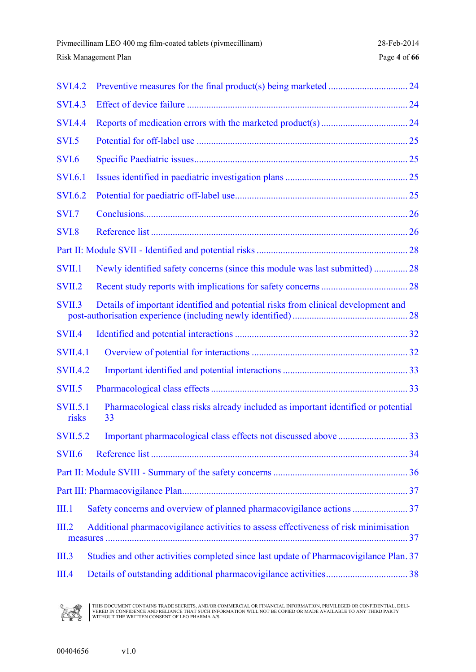| <b>SVI.4.2</b>           |                                                                                         |  |
|--------------------------|-----------------------------------------------------------------------------------------|--|
| <b>SVI.4.3</b>           |                                                                                         |  |
| <b>SVI.4.4</b>           |                                                                                         |  |
| <b>SVI.5</b>             |                                                                                         |  |
| <b>SVI.6</b>             |                                                                                         |  |
| <b>SVI.6.1</b>           |                                                                                         |  |
| <b>SVI.6.2</b>           |                                                                                         |  |
| <b>SVI.7</b>             |                                                                                         |  |
| <b>SVI.8</b>             |                                                                                         |  |
|                          |                                                                                         |  |
| <b>SVII.1</b>            | Newly identified safety concerns (since this module was last submitted)  28             |  |
| SVII.2                   |                                                                                         |  |
| SVII.3                   | Details of important identified and potential risks from clinical development and       |  |
| SVII.4                   |                                                                                         |  |
| <b>SVII.4.1</b>          |                                                                                         |  |
| <b>SVII.4.2</b>          |                                                                                         |  |
| SVII.5                   |                                                                                         |  |
| <b>SVII.5.1</b><br>risks | Pharmacological class risks already included as important identified or potential<br>33 |  |
|                          |                                                                                         |  |
| SVII.6                   |                                                                                         |  |
|                          |                                                                                         |  |
|                          |                                                                                         |  |
| III.1                    |                                                                                         |  |
| III.2                    | Additional pharmacovigilance activities to assess effectiveness of risk minimisation    |  |
| III.3                    | Studies and other activities completed since last update of Pharmacovigilance Plan. 37  |  |
| III.4                    |                                                                                         |  |

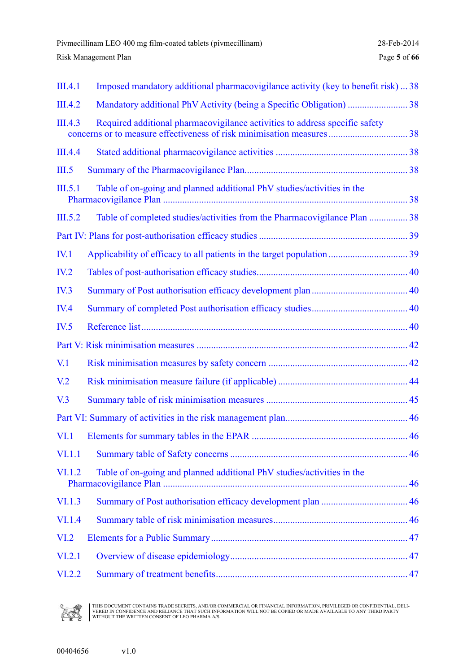| III.4.1          | Imposed mandatory additional pharmacovigilance activity (key to benefit risk)  38 |  |
|------------------|-----------------------------------------------------------------------------------|--|
| III.4.2          |                                                                                   |  |
| III.4.3          | Required additional pharmacovigilance activities to address specific safety       |  |
| III.4.4          |                                                                                   |  |
| III.5            |                                                                                   |  |
| III.5.1          | Table of on-going and planned additional PhV studies/activities in the            |  |
| III.5.2          | Table of completed studies/activities from the Pharmacovigilance Plan  38         |  |
|                  |                                                                                   |  |
| IV.1             |                                                                                   |  |
| IV.2             |                                                                                   |  |
| IV.3             |                                                                                   |  |
| IV.4             |                                                                                   |  |
| IV.5             |                                                                                   |  |
|                  |                                                                                   |  |
| V <sub>1</sub>   |                                                                                   |  |
| V <sub>12</sub>  |                                                                                   |  |
| V <sub>0</sub> 3 |                                                                                   |  |
|                  |                                                                                   |  |
|                  | . 46                                                                              |  |
| VI.1.1           |                                                                                   |  |
| VI.1.2           | Table of on-going and planned additional PhV studies/activities in the            |  |
| VI.1.3           |                                                                                   |  |
| <b>VI.1.4</b>    |                                                                                   |  |
| VI.2             |                                                                                   |  |
| VI.2.1           |                                                                                   |  |
| VI.2.2           |                                                                                   |  |

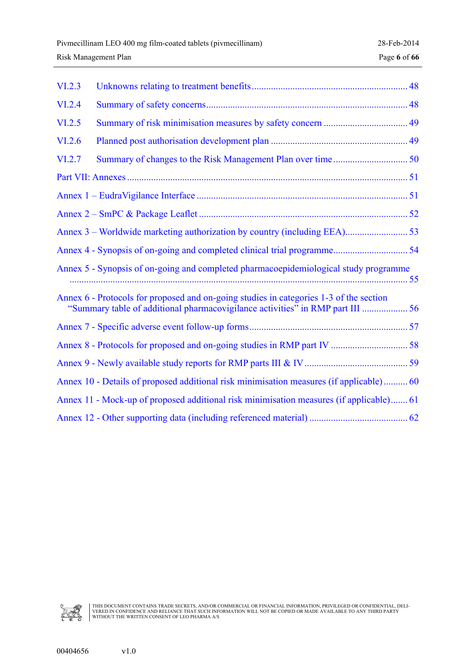| VI.2.3 |                                                                                                                                                                          |  |
|--------|--------------------------------------------------------------------------------------------------------------------------------------------------------------------------|--|
| VI.2.4 |                                                                                                                                                                          |  |
| VI.2.5 |                                                                                                                                                                          |  |
| VI.2.6 |                                                                                                                                                                          |  |
| VI.2.7 |                                                                                                                                                                          |  |
|        |                                                                                                                                                                          |  |
|        |                                                                                                                                                                          |  |
|        |                                                                                                                                                                          |  |
|        |                                                                                                                                                                          |  |
|        |                                                                                                                                                                          |  |
|        | Annex 5 - Synopsis of on-going and completed pharmacoepidemiological study programme                                                                                     |  |
|        | Annex 6 - Protocols for proposed and on-going studies in categories 1-3 of the section<br>"Summary table of additional pharmacovigilance activities" in RMP part III  56 |  |
|        |                                                                                                                                                                          |  |
|        |                                                                                                                                                                          |  |
|        |                                                                                                                                                                          |  |
|        | Annex 10 - Details of proposed additional risk minimisation measures (if applicable) 60                                                                                  |  |
|        | Annex 11 - Mock-up of proposed additional risk minimisation measures (if applicable) 61                                                                                  |  |
|        |                                                                                                                                                                          |  |

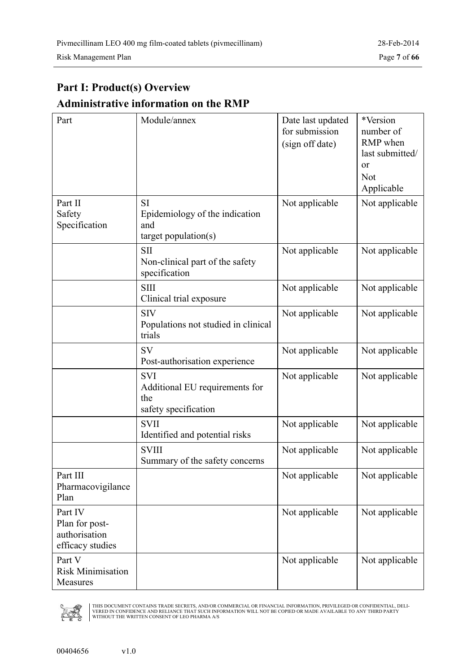# <span id="page-6-0"></span>**Part I: Product(s) Overview Administrative information on the RMP**

| Part                                                           | Module/annex                                                                 | Date last updated<br>for submission<br>(sign off date) | *Version<br>number of<br>RMP when<br>last submitted/<br>or<br><b>Not</b><br>Applicable |
|----------------------------------------------------------------|------------------------------------------------------------------------------|--------------------------------------------------------|----------------------------------------------------------------------------------------|
| Part II<br>Safety<br>Specification                             | <b>SI</b><br>Epidemiology of the indication<br>and<br>$target$ population(s) | Not applicable                                         | Not applicable                                                                         |
|                                                                | <b>SII</b><br>Non-clinical part of the safety<br>specification               | Not applicable                                         | Not applicable                                                                         |
|                                                                | <b>SIII</b><br>Clinical trial exposure                                       | Not applicable                                         | Not applicable                                                                         |
|                                                                | <b>SIV</b><br>Populations not studied in clinical<br>trials                  | Not applicable                                         | Not applicable                                                                         |
|                                                                | <b>SV</b><br>Post-authorisation experience                                   | Not applicable                                         | Not applicable                                                                         |
|                                                                | <b>SVI</b><br>Additional EU requirements for<br>the<br>safety specification  | Not applicable                                         | Not applicable                                                                         |
|                                                                | <b>SVII</b><br>Identified and potential risks                                | Not applicable                                         | Not applicable                                                                         |
|                                                                | <b>SVIII</b><br>Summary of the safety concerns                               | Not applicable                                         | Not applicable                                                                         |
| Part III<br>Pharmacovigilance<br>Plan                          |                                                                              | Not applicable                                         | Not applicable                                                                         |
| Part IV<br>Plan for post-<br>authorisation<br>efficacy studies |                                                                              | Not applicable                                         | Not applicable                                                                         |
| Part V<br><b>Risk Minimisation</b><br>Measures                 |                                                                              | Not applicable                                         | Not applicable                                                                         |

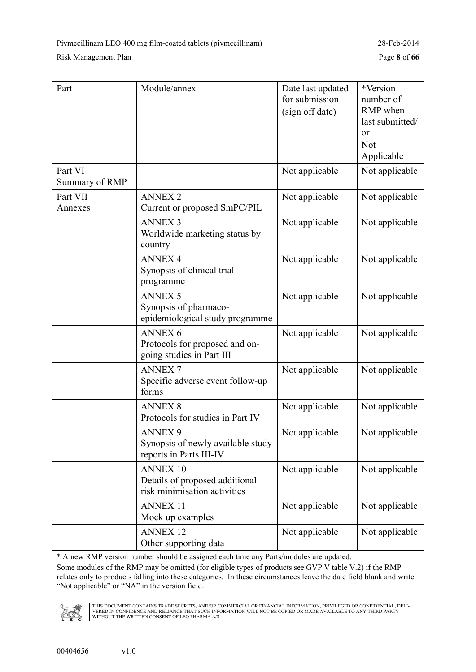#### Risk Management Plan Page **8** of **66**

| Part                      | Module/annex                                                                      | Date last updated<br>for submission<br>(sign off date) | *Version<br>number of<br>RMP when<br>last submitted/<br>or<br><b>Not</b><br>Applicable |
|---------------------------|-----------------------------------------------------------------------------------|--------------------------------------------------------|----------------------------------------------------------------------------------------|
| Part VI<br>Summary of RMP |                                                                                   | Not applicable                                         | Not applicable                                                                         |
| Part VII<br>Annexes       | <b>ANNEX 2</b><br>Current or proposed SmPC/PIL                                    | Not applicable                                         | Not applicable                                                                         |
|                           | <b>ANNEX 3</b><br>Worldwide marketing status by<br>country                        | Not applicable                                         | Not applicable                                                                         |
|                           | <b>ANNEX 4</b><br>Synopsis of clinical trial<br>programme                         | Not applicable                                         | Not applicable                                                                         |
|                           | <b>ANNEX 5</b><br>Synopsis of pharmaco-<br>epidemiological study programme        | Not applicable                                         | Not applicable                                                                         |
|                           | <b>ANNEX 6</b><br>Protocols for proposed and on-<br>going studies in Part III     | Not applicable                                         | Not applicable                                                                         |
|                           | <b>ANNEX7</b><br>Specific adverse event follow-up<br>forms                        | Not applicable                                         | Not applicable                                                                         |
|                           | <b>ANNEX 8</b><br>Protocols for studies in Part IV                                | Not applicable                                         | Not applicable                                                                         |
|                           | <b>ANNEX 9</b><br>Synopsis of newly available study<br>reports in Parts III-IV    | Not applicable                                         | Not applicable                                                                         |
|                           | <b>ANNEX 10</b><br>Details of proposed additional<br>risk minimisation activities | Not applicable                                         | Not applicable                                                                         |
|                           | <b>ANNEX 11</b><br>Mock up examples                                               | Not applicable                                         | Not applicable                                                                         |
|                           | <b>ANNEX 12</b><br>Other supporting data                                          | Not applicable                                         | Not applicable                                                                         |

\* A new RMP version number should be assigned each time any Parts/modules are updated.

Some modules of the RMP may be omitted (for eligible types of products see GVP V table V.2) if the RMP relates only to products falling into these categories. In these circumstances leave the date field blank and write "Not applicable" or "NA" in the version field.

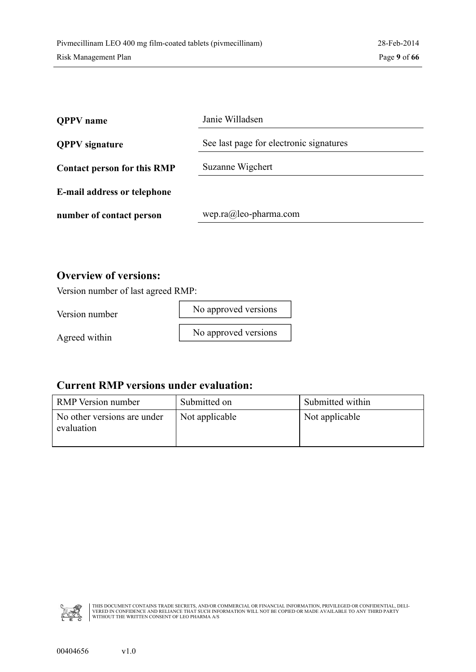<span id="page-8-0"></span>

| <b>OPPV</b> name                   | Janie Willadsen                         |
|------------------------------------|-----------------------------------------|
| <b>QPPV</b> signature              | See last page for electronic signatures |
| <b>Contact person for this RMP</b> | Suzanne Wigchert                        |
| E-mail address or telephone        |                                         |
| number of contact person           | wep.ra@leo-pharma.com                   |

#### **Overview of versions:**

Version number of last agreed RMP:

Version number

No approved versions

Agreed within

No approved versions

#### **Current RMP versions under evaluation:**

| <b>RMP</b> Version number                 | Submitted on   | Submitted within |
|-------------------------------------------|----------------|------------------|
| No other versions are under<br>evaluation | Not applicable | Not applicable   |

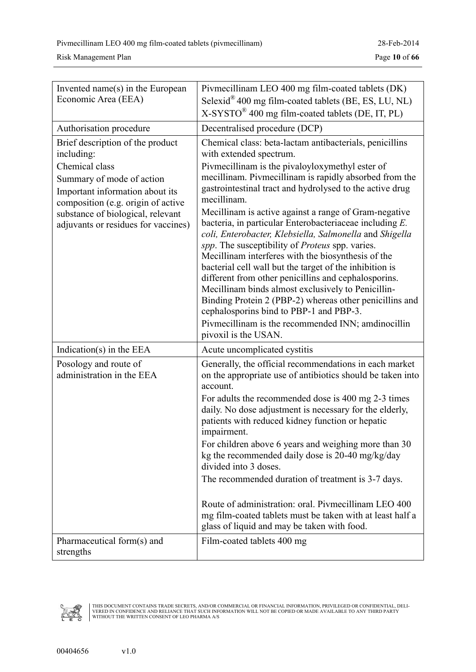Risk Management Plan Page **10** of **66**

| Invented name(s) in the European<br>Economic Area (EEA)                                                                                                                                                                                            | Pivmecillinam LEO 400 mg film-coated tablets (DK)<br>Selexid® 400 mg film-coated tablets (BE, ES, LU, NL)<br>X-SYSTO® 400 mg film-coated tablets (DE, IT, PL)                                                                                                                                                                                                                                                                                                                                                                                                                                                                                                                                                                                                                                                                                                                                                                          |
|----------------------------------------------------------------------------------------------------------------------------------------------------------------------------------------------------------------------------------------------------|----------------------------------------------------------------------------------------------------------------------------------------------------------------------------------------------------------------------------------------------------------------------------------------------------------------------------------------------------------------------------------------------------------------------------------------------------------------------------------------------------------------------------------------------------------------------------------------------------------------------------------------------------------------------------------------------------------------------------------------------------------------------------------------------------------------------------------------------------------------------------------------------------------------------------------------|
| Authorisation procedure                                                                                                                                                                                                                            | Decentralised procedure (DCP)                                                                                                                                                                                                                                                                                                                                                                                                                                                                                                                                                                                                                                                                                                                                                                                                                                                                                                          |
| Brief description of the product<br>including:<br>Chemical class<br>Summary of mode of action<br>Important information about its<br>composition (e.g. origin of active<br>substance of biological, relevant<br>adjuvants or residues for vaccines) | Chemical class: beta-lactam antibacterials, penicillins<br>with extended spectrum.<br>Pivmecillinam is the pivaloyloxymethyl ester of<br>mecillinam. Pivmecillinam is rapidly absorbed from the<br>gastrointestinal tract and hydrolysed to the active drug<br>mecillinam.<br>Mecillinam is active against a range of Gram-negative<br>bacteria, in particular Enterobacteriaceae including E.<br>coli, Enterobacter, Klebsiella, Salmonella and Shigella<br>spp. The susceptibility of <i>Proteus</i> spp. varies.<br>Mecillinam interferes with the biosynthesis of the<br>bacterial cell wall but the target of the inhibition is<br>different from other penicillins and cephalosporins.<br>Mecillinam binds almost exclusively to Penicillin-<br>Binding Protein 2 (PBP-2) whereas other penicillins and<br>cephalosporins bind to PBP-1 and PBP-3.<br>Pivmecillinam is the recommended INN; amdinocillin<br>pivoxil is the USAN. |
| Indication(s) in the EEA                                                                                                                                                                                                                           | Acute uncomplicated cystitis                                                                                                                                                                                                                                                                                                                                                                                                                                                                                                                                                                                                                                                                                                                                                                                                                                                                                                           |
| Posology and route of<br>administration in the EEA                                                                                                                                                                                                 | Generally, the official recommendations in each market<br>on the appropriate use of antibiotics should be taken into<br>account.<br>For adults the recommended dose is 400 mg 2-3 times<br>daily. No dose adjustment is necessary for the elderly,<br>patients with reduced kidney function or hepatic<br>impairment.<br>For children above 6 years and weighing more than 30<br>kg the recommended daily dose is 20-40 mg/kg/day<br>divided into 3 doses.<br>The recommended duration of treatment is 3-7 days.<br>Route of administration: oral. Pivmecillinam LEO 400<br>mg film-coated tablets must be taken with at least half a<br>glass of liquid and may be taken with food.                                                                                                                                                                                                                                                   |
| Pharmaceutical form(s) and<br>strengths                                                                                                                                                                                                            | Film-coated tablets 400 mg                                                                                                                                                                                                                                                                                                                                                                                                                                                                                                                                                                                                                                                                                                                                                                                                                                                                                                             |

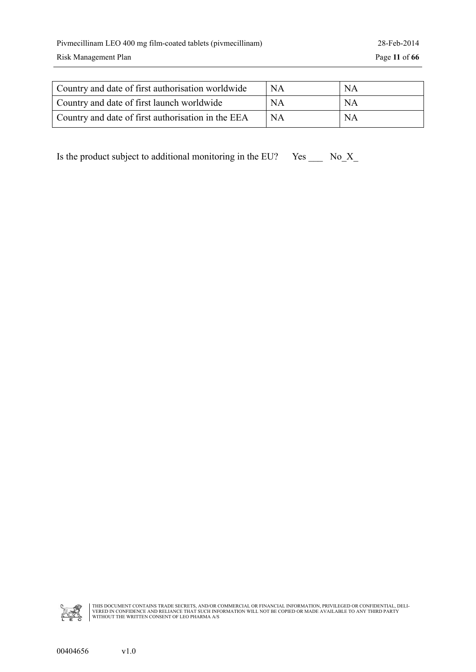| Country and date of first authorisation worldwide  | <b>NA</b> | NA        |
|----------------------------------------------------|-----------|-----------|
| Country and date of first launch worldwide         | NA        | NA        |
| Country and date of first authorisation in the EEA | NA        | <b>NA</b> |

Is the product subject to additional monitoring in the EU? Yes  $\_\_\_\_$  No<sub>\_</sub>X<sub>\_</sub>

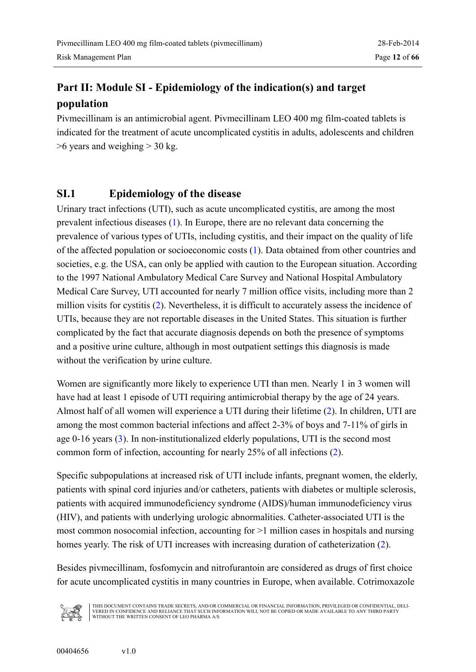### <span id="page-11-0"></span>**Part II: Module SI - Epidemiology of the indication(s) and target population**

Pivmecillinam is an antimicrobial agent. Pivmecillinam LEO 400 mg film-coated tablets is indicated for the treatment of acute uncomplicated cystitis in adults, adolescents and children  $>6$  years and weighing  $> 30$  kg.

#### **SI.1 Epidemiology of the disease**

Urinary tract infections (UTI), such as acute uncomplicated cystitis, are among the most prevalent infectious diseases ([1\)](#page-13-0). In Europe, there are no relevant data concerning the prevalence of various types of UTIs, including cystitis, and their impact on the quality of life of the affected population or socioeconomic costs ([1\)](#page-13-0). Data obtained from other countries and societies, e.g. the USA, can only be applied with caution to the European situation. According to the 1997 National Ambulatory Medical Care Survey and National Hospital Ambulatory Medical Care Survey, UTI accounted for nearly 7 million office visits, including more than 2 million visits for cystitis ([2\)](#page-13-0). Nevertheless, it is difficult to accurately assess the incidence of UTIs, because they are not reportable diseases in the United States. This situation is further complicated by the fact that accurate diagnosis depends on both the presence of symptoms and a positive urine culture, although in most outpatient settings this diagnosis is made without the verification by urine culture.

Women are significantly more likely to experience UTI than men. Nearly 1 in 3 women will have had at least 1 episode of UTI requiring antimicrobial therapy by the age of 24 years. Almost half of all women will experience a UTI during their lifetime ([2\)](#page-13-0). In children, UTI are among the most common bacterial infections and affect 2-3% of boys and 7-11% of girls in age 0-16 years [\(3\)](#page-13-0). In non-institutionalized elderly populations, UTI is the second most common form of infection, accounting for nearly 25% of all infections ([2\)](#page-13-0).

Specific subpopulations at increased risk of UTI include infants, pregnant women, the elderly, patients with spinal cord injuries and/or catheters, patients with diabetes or multiple sclerosis, patients with acquired immunodeficiency syndrome (AIDS)/human immunodeficiency virus (HIV), and patients with underlying urologic abnormalities. Catheter-associated UTI is the most common nosocomial infection, accounting for >1 million cases in hospitals and nursing homes yearly. The risk of UTI increases with increasing duration of catheterization ([2\)](#page-13-0).

Besides pivmecillinam, fosfomycin and nitrofurantoin are considered as drugs of first choice for acute uncomplicated cystitis in many countries in Europe, when available. Cotrimoxazole

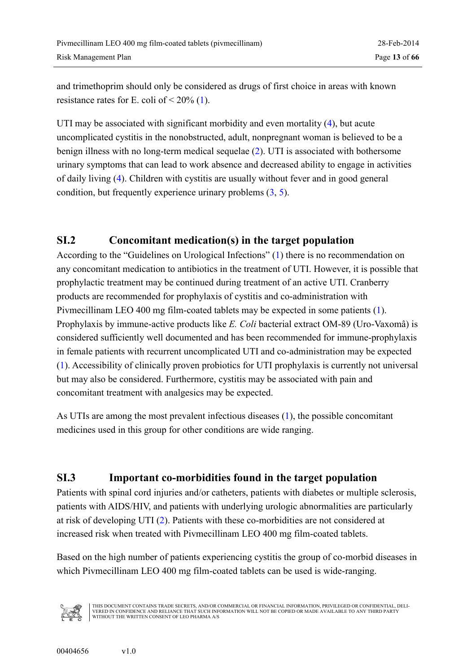<span id="page-12-0"></span>and trimethoprim should only be considered as drugs of first choice in areas with known resistance rates for E. coli of  $\leq 20\%$  ([1\)](#page-13-0).

UTI may be associated with significant morbidity and even mortality ([4\)](#page-13-0), but acute uncomplicated cystitis in the nonobstructed, adult, nonpregnant woman is believed to be a benign illness with no long-term medical sequelae ([2\)](#page-13-0). UTI is associated with bothersome urinary symptoms that can lead to work absence and decreased ability to engage in activities of daily living ([4\)](#page-13-0). Children with cystitis are usually without fever and in good general condition, but frequently experience urinary problems ([3,](#page-13-0) [5\)](#page-13-0).

#### **SI.2 Concomitant medication(s) in the target population**

According to the "Guidelines on Urological Infections" ([1\)](#page-13-0) there is no recommendation on any concomitant medication to antibiotics in the treatment of UTI. However, it is possible that prophylactic treatment may be continued during treatment of an active UTI. Cranberry products are recommended for prophylaxis of cystitis and co-administration with Pivmecillinam LEO 400 mg film-coated tablets may be expected in some patients ([1\)](#page-13-0). Prophylaxis by immune-active products like *E. Coli* bacterial extract OM-89 (Uro-Vaxomâ) is considered sufficiently well documented and has been recommended for immune-prophylaxis in female patients with recurrent uncomplicated UTI and co-administration may be expected ([1\)](#page-13-0). Accessibility of clinically proven probiotics for UTI prophylaxis is currently not universal but may also be considered. Furthermore, cystitis may be associated with pain and concomitant treatment with analgesics may be expected.

As UTIs are among the most prevalent infectious diseases ([1\)](#page-13-0), the possible concomitant medicines used in this group for other conditions are wide ranging.

### **SI.3 Important co-morbidities found in the target population**

Patients with spinal cord injuries and/or catheters, patients with diabetes or multiple sclerosis, patients with AIDS/HIV, and patients with underlying urologic abnormalities are particularly at risk of developing UTI ([2\)](#page-13-0). Patients with these co-morbidities are not considered at increased risk when treated with Pivmecillinam LEO 400 mg film-coated tablets.

Based on the high number of patients experiencing cystitis the group of co-morbid diseases in which Pivmecillinam LEO 400 mg film-coated tablets can be used is wide-ranging.

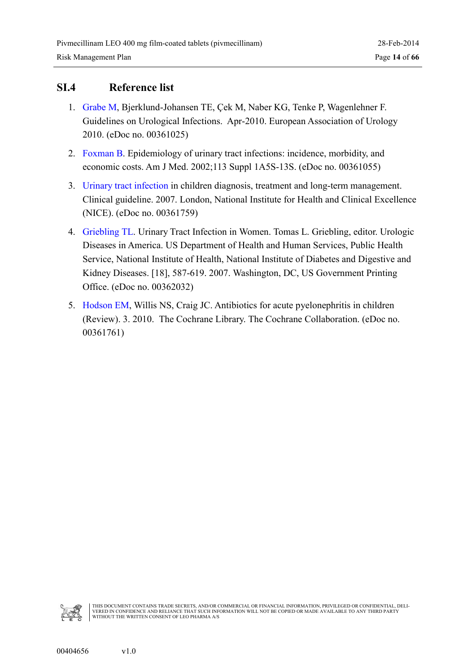#### <span id="page-13-0"></span>**SI.4 Reference list**

- 1. [Grabe M,](#page-0-0) Bjerklund-Johansen TE, Çek M, Naber KG, Tenke P, Wagenlehner F. Guidelines on Urological Infections. Apr-2010. European Association of Urology 2010. (eDoc no. 00361025)
- 2. [Foxman B.](#page-0-0) Epidemiology of urinary tract infections: incidence, morbidity, and economic costs. Am J Med. 2002;113 Suppl 1A5S-13S. (eDoc no. 00361055)
- 3. [Urinary tract infection](#page-0-0) in children diagnosis, treatment and long-term management. Clinical guideline. 2007. London, National Institute for Health and Clinical Excellence (NICE). (eDoc no. 00361759)
- 4. [Griebling TL.](#page-0-0) Urinary Tract Infection in Women. Tomas L. Griebling, editor. Urologic Diseases in America. US Department of Health and Human Services, Public Health Service, National Institute of Health, National Institute of Diabetes and Digestive and Kidney Diseases. [18], 587-619. 2007. Washington, DC, US Government Printing Office. (eDoc no. 00362032)
- 5. [Hodson EM,](#page-0-0) Willis NS, Craig JC. Antibiotics for acute pyelonephritis in children (Review). 3. 2010. The Cochrane Library. The Cochrane Collaboration. (eDoc no. 00361761)

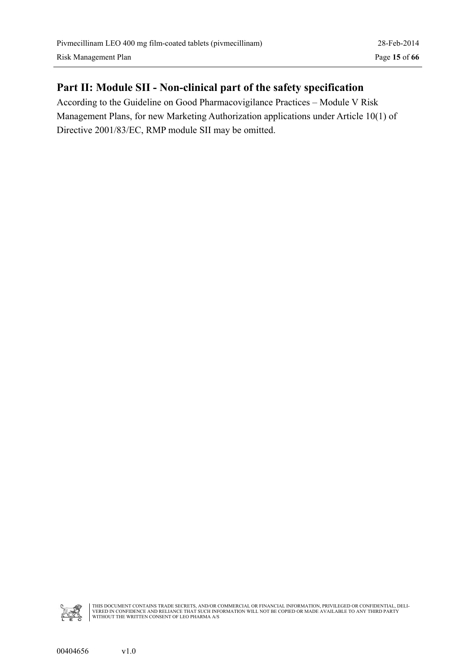### <span id="page-14-0"></span>**Part II: Module SII - Non-clinical part of the safety specification**

According to the Guideline on Good Pharmacovigilance Practices – Module V Risk Management Plans, for new Marketing Authorization applications under Article 10(1) of Directive 2001/83/EC, RMP module SII may be omitted.

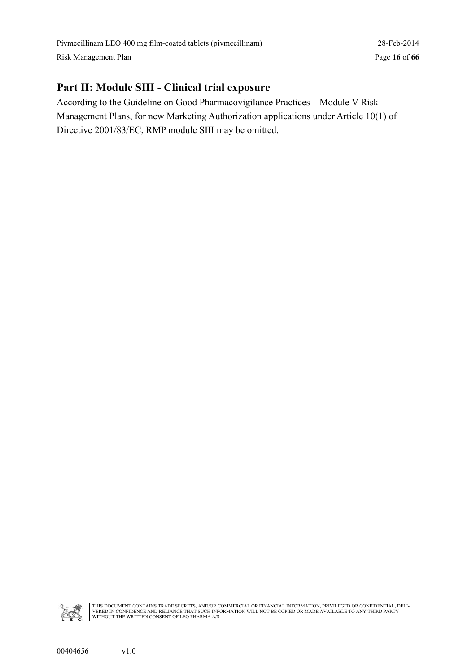### <span id="page-15-0"></span>**Part II: Module SIII - Clinical trial exposure**

According to the Guideline on Good Pharmacovigilance Practices – Module V Risk Management Plans, for new Marketing Authorization applications under Article 10(1) of Directive 2001/83/EC, RMP module SIII may be omitted.

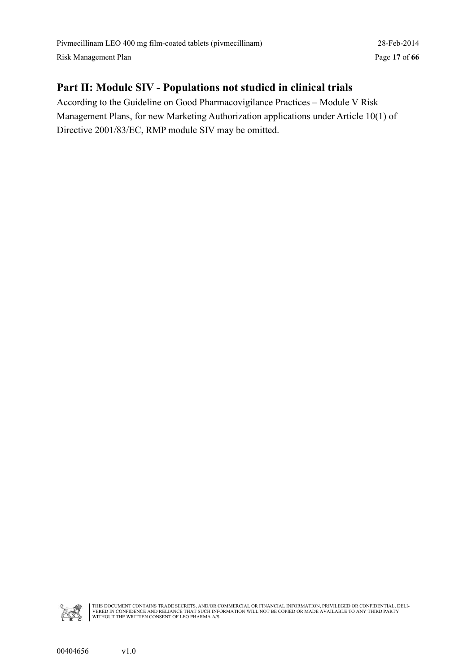### <span id="page-16-0"></span>**Part II: Module SIV - Populations not studied in clinical trials**

According to the Guideline on Good Pharmacovigilance Practices – Module V Risk Management Plans, for new Marketing Authorization applications under Article 10(1) of Directive 2001/83/EC, RMP module SIV may be omitted.

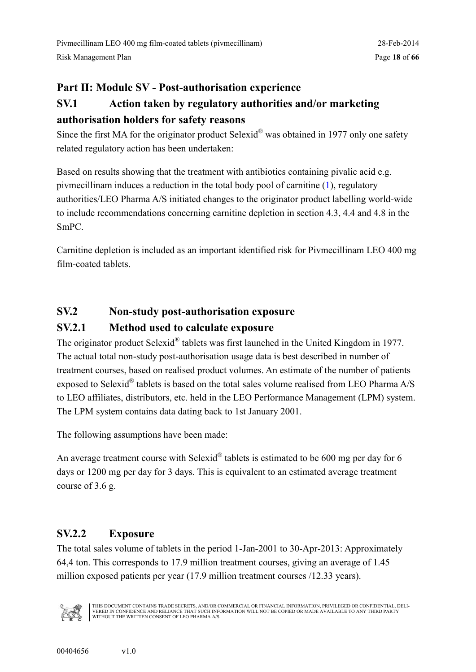#### <span id="page-17-0"></span>**Part II: Module SV - Post-authorisation experience**

### **SV.1 Action taken by regulatory authorities and/or marketing authorisation holders for safety reasons**

Since the first MA for the originator product Selexid® was obtained in 1977 only one safety related regulatory action has been undertaken:

Based on results showing that the treatment with antibiotics containing pivalic acid e.g. pivmecillinam induces a reduction in the total body pool of carnitine ([1\)](#page-13-0), regulatory authorities/LEO Pharma A/S initiated changes to the originator product labelling world-wide to include recommendations concerning carnitine depletion in section 4.3, 4.4 and 4.8 in the SmPC.

Carnitine depletion is included as an important identified risk for Pivmecillinam LEO 400 mg film-coated tablets.

### **SV.2 Non-study post-authorisation exposure**

### **SV.2.1 Method used to calculate exposure**

The originator product Selexid® tablets was first launched in the United Kingdom in 1977. The actual total non-study post-authorisation usage data is best described in number of treatment courses, based on realised product volumes. An estimate of the number of patients exposed to Selexid<sup>®</sup> tablets is based on the total sales volume realised from LEO Pharma A/S to LEO affiliates, distributors, etc. held in the LEO Performance Management (LPM) system. The LPM system contains data dating back to 1st January 2001.

The following assumptions have been made:

An average treatment course with Selexid<sup>®</sup> tablets is estimated to be 600 mg per day for 6 days or 1200 mg per day for 3 days. This is equivalent to an estimated average treatment course of 3.6 g.

### **SV.2.2 Exposure**

The total sales volume of tablets in the period 1-Jan-2001 to 30-Apr-2013: Approximately 64,4 ton. This corresponds to 17.9 million treatment courses, giving an average of 1.45 million exposed patients per year (17.9 million treatment courses /12.33 years).

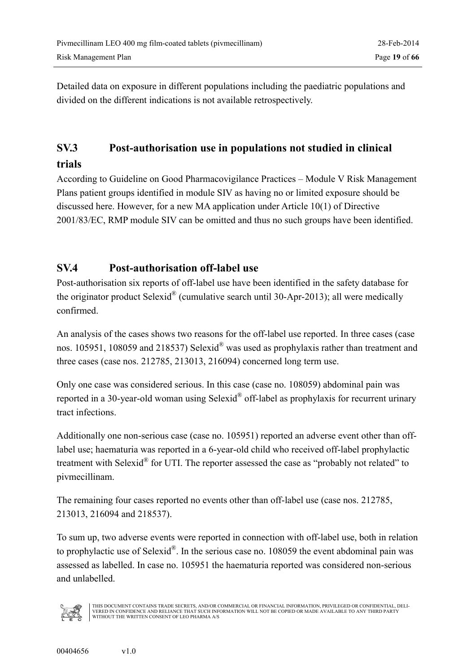<span id="page-18-0"></span>Detailed data on exposure in different populations including the paediatric populations and divided on the different indications is not available retrospectively.

# **SV.3 Post-authorisation use in populations not studied in clinical**

#### **trials**

According to Guideline on Good Pharmacovigilance Practices – Module V Risk Management Plans patient groups identified in module SIV as having no or limited exposure should be discussed here. However, for a new MA application under Article 10(1) of Directive 2001/83/EC, RMP module SIV can be omitted and thus no such groups have been identified.

#### **SV.4 Post-authorisation off-label use**

Post-authorisation six reports of off-label use have been identified in the safety database for the originator product Selexid<sup>®</sup> (cumulative search until 30-Apr-2013); all were medically confirmed.

An analysis of the cases shows two reasons for the off-label use reported. In three cases (case nos. 105951, 108059 and 218537) Selexid® was used as prophylaxis rather than treatment and three cases (case nos. 212785, 213013, 216094) concerned long term use.

Only one case was considered serious. In this case (case no. 108059) abdominal pain was reported in a 30-year-old woman using Selexid<sup>®</sup> off-label as prophylaxis for recurrent urinary tract infections.

Additionally one non-serious case (case no. 105951) reported an adverse event other than offlabel use; haematuria was reported in a 6-year-old child who received off-label prophylactic treatment with Selexid $^{\circledR}$  for UTI. The reporter assessed the case as "probably not related" to pivmecillinam.

The remaining four cases reported no events other than off-label use (case nos. 212785, 213013, 216094 and 218537).

To sum up, two adverse events were reported in connection with off-label use, both in relation to prophylactic use of Selexid<sup>®</sup>. In the serious case no. 108059 the event abdominal pain was assessed as labelled. In case no. 105951 the haematuria reported was considered non-serious and unlabelled.

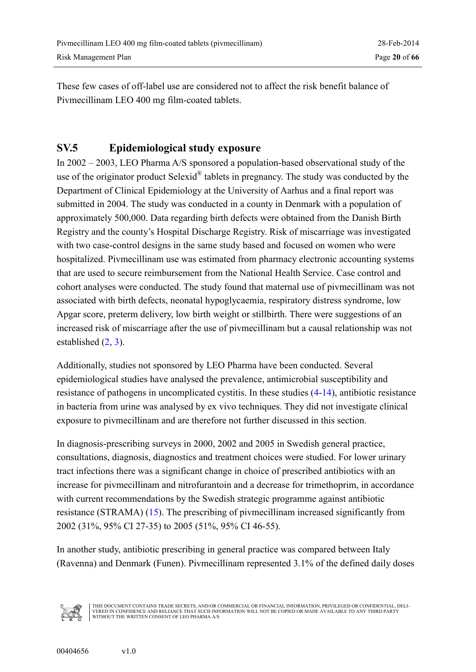<span id="page-19-0"></span>These few cases of off-label use are considered not to affect the risk benefit balance of Pivmecillinam LEO 400 mg film-coated tablets.

#### **SV.5 Epidemiological study exposure**

In 2002 – 2003, LEO Pharma A/S sponsored a population-based observational study of the use of the originator product Selexid<sup>®</sup> tablets in pregnancy. The study was conducted by the Department of Clinical Epidemiology at the University of Aarhus and a final report was submitted in 2004. The study was conducted in a county in Denmark with a population of approximately 500,000. Data regarding birth defects were obtained from the Danish Birth Registry and the county's Hospital Discharge Registry. Risk of miscarriage was investigated with two case-control designs in the same study based and focused on women who were hospitalized. Pivmecillinam use was estimated from pharmacy electronic accounting systems that are used to secure reimbursement from the National Health Service. Case control and cohort analyses were conducted. The study found that maternal use of pivmecillinam was not associated with birth defects, neonatal hypoglycaemia, respiratory distress syndrome, low Apgar score, preterm delivery, low birth weight or stillbirth. There were suggestions of an increased risk of miscarriage after the use of pivmecillinam but a causal relationship was not established ([2,](#page-20-0) [3\)](#page-20-0).

Additionally, studies not sponsored by LEO Pharma have been conducted. Several epidemiological studies have analysed the prevalence, antimicrobial susceptibility and resistance of pathogens in uncomplicated cystitis. In these studies ([4-](#page-20-0)[14\)](#page-21-0), antibiotic resistance in bacteria from urine was analysed by ex vivo techniques. They did not investigate clinical exposure to pivmecillinam and are therefore not further discussed in this section.

In diagnosis-prescribing surveys in 2000, 2002 and 2005 in Swedish general practice, consultations, diagnosis, diagnostics and treatment choices were studied. For lower urinary tract infections there was a significant change in choice of prescribed antibiotics with an increase for pivmecillinam and nitrofurantoin and a decrease for trimethoprim, in accordance with current recommendations by the Swedish strategic programme against antibiotic resistance (STRAMA) ([15\)](#page-21-0). The prescribing of pivmecillinam increased significantly from 2002 (31%, 95% CI 27-35) to 2005 (51%, 95% CI 46-55).

In another study, antibiotic prescribing in general practice was compared between Italy (Ravenna) and Denmark (Funen). Pivmecillinam represented 3.1% of the defined daily doses

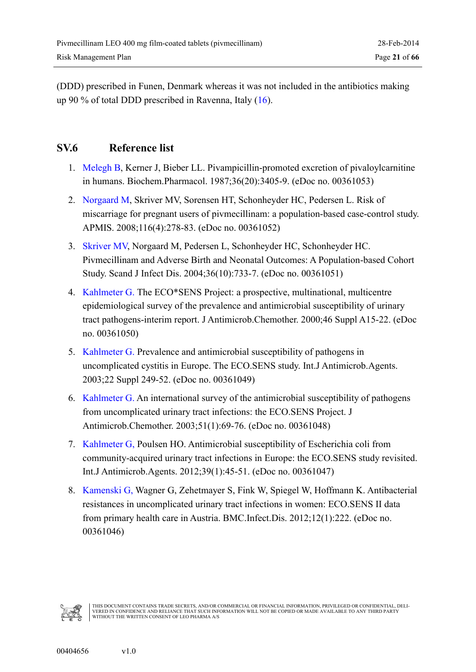<span id="page-20-0"></span>(DDD) prescribed in Funen, Denmark whereas it was not included in the antibiotics making up 90 % of total DDD prescribed in Ravenna, Italy ([16\)](#page-21-0).

#### **SV.6 Reference list**

- 1. [Melegh B,](#page-0-0) Kerner J, Bieber LL. Pivampicillin-promoted excretion of pivaloylcarnitine in humans. Biochem.Pharmacol. 1987;36(20):3405-9. (eDoc no. 00361053)
- 2. [Norgaard M,](#page-0-0) Skriver MV, Sorensen HT, Schonheyder HC, Pedersen L. Risk of miscarriage for pregnant users of pivmecillinam: a population-based case-control study. APMIS. 2008;116(4):278-83. (eDoc no. 00361052)
- 3. [Skriver MV,](#page-0-0) Norgaard M, Pedersen L, Schonheyder HC, Schonheyder HC. Pivmecillinam and Adverse Birth and Neonatal Outcomes: A Population-based Cohort Study. Scand J Infect Dis. 2004;36(10):733-7. (eDoc no. 00361051)
- 4. [Kahlmeter G.](#page-0-0) The ECO\*SENS Project: a prospective, multinational, multicentre epidemiological survey of the prevalence and antimicrobial susceptibility of urinary tract pathogens-interim report. J Antimicrob.Chemother. 2000;46 Suppl A15-22. (eDoc no. 00361050)
- 5. [Kahlmeter G.](#page-0-0) Prevalence and antimicrobial susceptibility of pathogens in uncomplicated cystitis in Europe. The ECO.SENS study. Int.J Antimicrob.Agents. 2003;22 Suppl 249-52. (eDoc no. 00361049)
- 6. [Kahlmeter G.](#page-0-0) An international survey of the antimicrobial susceptibility of pathogens from uncomplicated urinary tract infections: the ECO.SENS Project. J Antimicrob.Chemother. 2003;51(1):69-76. (eDoc no. 00361048)
- 7. [Kahlmeter G,](#page-0-0) Poulsen HO. Antimicrobial susceptibility of Escherichia coli from community-acquired urinary tract infections in Europe: the ECO.SENS study revisited. Int.J Antimicrob.Agents. 2012;39(1):45-51. (eDoc no. 00361047)
- 8. [Kamenski G,](#page-0-0) Wagner G, Zehetmayer S, Fink W, Spiegel W, Hoffmann K. Antibacterial resistances in uncomplicated urinary tract infections in women: ECO.SENS II data from primary health care in Austria. BMC.Infect.Dis. 2012;12(1):222. (eDoc no. 00361046)

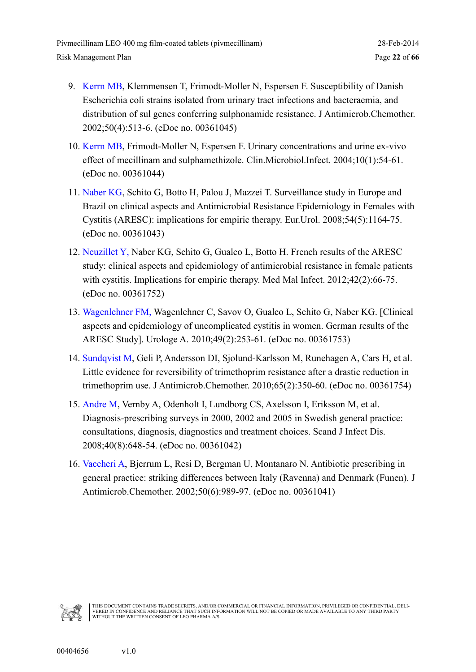- <span id="page-21-0"></span>9. [Kerrn MB,](#page-0-0) Klemmensen T, Frimodt-Moller N, Espersen F. Susceptibility of Danish Escherichia coli strains isolated from urinary tract infections and bacteraemia, and distribution of sul genes conferring sulphonamide resistance. J Antimicrob.Chemother. 2002;50(4):513-6. (eDoc no. 00361045)
- 10. [Kerrn MB,](#page-0-0) Frimodt-Moller N, Espersen F. Urinary concentrations and urine ex-vivo effect of mecillinam and sulphamethizole. Clin.Microbiol.Infect. 2004;10(1):54-61. (eDoc no. 00361044)
- 11. [Naber KG,](#page-0-0) Schito G, Botto H, Palou J, Mazzei T. Surveillance study in Europe and Brazil on clinical aspects and Antimicrobial Resistance Epidemiology in Females with Cystitis (ARESC): implications for empiric therapy. Eur.Urol. 2008;54(5):1164-75. (eDoc no. 00361043)
- 12. [Neuzillet Y,](#page-0-0) Naber KG, Schito G, Gualco L, Botto H. French results of the ARESC study: clinical aspects and epidemiology of antimicrobial resistance in female patients with cystitis. Implications for empiric therapy. Med Mal Infect. 2012;42(2):66-75. (eDoc no. 00361752)
- 13. [Wagenlehner FM,](#page-0-0) Wagenlehner C, Savov O, Gualco L, Schito G, Naber KG. [Clinical aspects and epidemiology of uncomplicated cystitis in women. German results of the ARESC Study]. Urologe A. 2010;49(2):253-61. (eDoc no. 00361753)
- 14. [Sundqvist M,](#page-0-0) Geli P, Andersson DI, Sjolund-Karlsson M, Runehagen A, Cars H, et al. Little evidence for reversibility of trimethoprim resistance after a drastic reduction in trimethoprim use. J Antimicrob.Chemother. 2010;65(2):350-60. (eDoc no. 00361754)
- 15. [Andre M,](#page-0-0) Vernby A, Odenholt I, Lundborg CS, Axelsson I, Eriksson M, et al. Diagnosis-prescribing surveys in 2000, 2002 and 2005 in Swedish general practice: consultations, diagnosis, diagnostics and treatment choices. Scand J Infect Dis. 2008;40(8):648-54. (eDoc no. 00361042)
- 16. [Vaccheri A,](#page-0-0) Bjerrum L, Resi D, Bergman U, Montanaro N. Antibiotic prescribing in general practice: striking differences between Italy (Ravenna) and Denmark (Funen). J Antimicrob.Chemother. 2002;50(6):989-97. (eDoc no. 00361041)

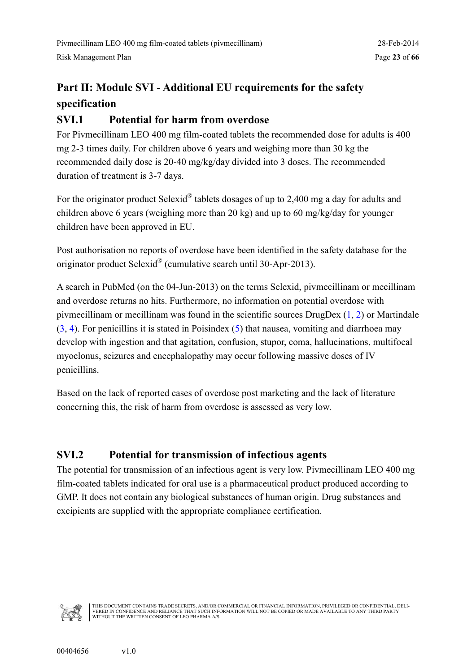### <span id="page-22-0"></span>**Part II: Module SVI - Additional EU requirements for the safety specification**

#### **SVI.1 Potential for harm from overdose**

For Pivmecillinam LEO 400 mg film-coated tablets the recommended dose for adults is 400 mg 2-3 times daily. For children above 6 years and weighing more than 30 kg the recommended daily dose is 20-40 mg/kg/day divided into 3 doses. The recommended duration of treatment is 3-7 days.

For the originator product Selexid<sup>®</sup> tablets dosages of up to 2,400 mg a day for adults and children above 6 years (weighing more than 20 kg) and up to 60 mg/kg/day for younger children have been approved in EU.

Post authorisation no reports of overdose have been identified in the safety database for the originator product Selexid<sup>®</sup> (cumulative search until 30-Apr-2013).

A search in PubMed (on the 04-Jun-2013) on the terms Selexid, pivmecillinam or mecillinam and overdose returns no hits. Furthermore, no information on potential overdose with pivmecillinam or mecillinam was found in the scientific sources DrugDex ([1,](#page-25-0) [2\)](#page-25-0) or Martindale ([3,](#page-25-0) [4\)](#page-25-0). For penicillins it is stated in Poisindex ([5\)](#page-25-0) that nausea, vomiting and diarrhoea may develop with ingestion and that agitation, confusion, stupor, coma, hallucinations, multifocal myoclonus, seizures and encephalopathy may occur following massive doses of IV penicillins.

Based on the lack of reported cases of overdose post marketing and the lack of literature concerning this, the risk of harm from overdose is assessed as very low.

### **SVI.2 Potential for transmission of infectious agents**

The potential for transmission of an infectious agent is very low. Pivmecillinam LEO 400 mg film-coated tablets indicated for oral use is a pharmaceutical product produced according to GMP. It does not contain any biological substances of human origin. Drug substances and excipients are supplied with the appropriate compliance certification.

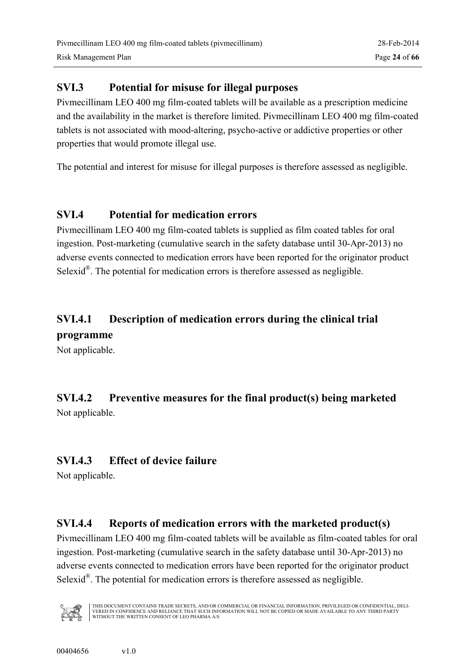### <span id="page-23-0"></span>**SVI.3 Potential for misuse for illegal purposes**

Pivmecillinam LEO 400 mg film-coated tablets will be available as a prescription medicine and the availability in the market is therefore limited. Pivmecillinam LEO 400 mg film-coated tablets is not associated with mood-altering, psycho-active or addictive properties or other properties that would promote illegal use.

The potential and interest for misuse for illegal purposes is therefore assessed as negligible.

### **SVI.4 Potential for medication errors**

Pivmecillinam LEO 400 mg film-coated tablets is supplied as film coated tables for oral ingestion. Post-marketing (cumulative search in the safety database until 30-Apr-2013) no adverse events connected to medication errors have been reported for the originator product Selexid $^{\circledR}$ . The potential for medication errors is therefore assessed as negligible.

### **SVI.4.1 Description of medication errors during the clinical trial**

#### **programme**

Not applicable.

### **SVI.4.2 Preventive measures for the final product(s) being marketed** Not applicable.

### **SVI.4.3 Effect of device failure**

Not applicable.

### **SVI.4.4 Reports of medication errors with the marketed product(s)**

Pivmecillinam LEO 400 mg film-coated tablets will be available as film-coated tables for oral ingestion. Post-marketing (cumulative search in the safety database until 30-Apr-2013) no adverse events connected to medication errors have been reported for the originator product Selexid<sup>®</sup>. The potential for medication errors is therefore assessed as negligible.

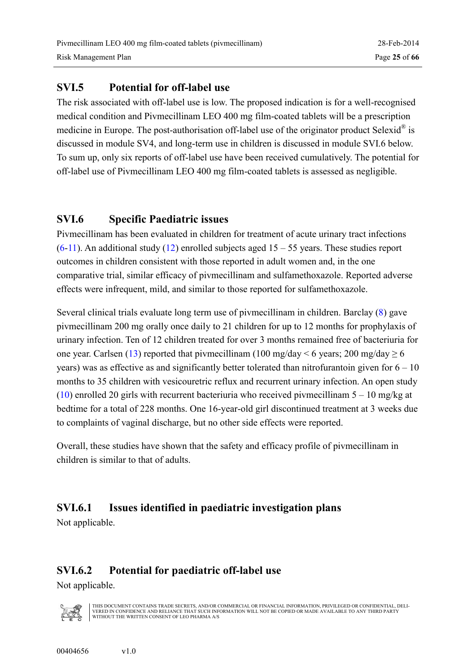#### <span id="page-24-0"></span>**SVI.5 Potential for off-label use**

The risk associated with off-label use is low. The proposed indication is for a well-recognised medical condition and Pivmecillinam LEO 400 mg film-coated tablets will be a prescription medicine in Europe. The post-authorisation off-label use of the originator product Selexid<sup>®</sup> is discussed in module SV4, and long-term use in children is discussed in module SVI.6 below. To sum up, only six reports of off-label use have been received cumulatively. The potential for off-label use of Pivmecillinam LEO 400 mg film-coated tablets is assessed as negligible.

### **SVI.6 Specific Paediatric issues**

Pivmecillinam has been evaluated in children for treatment of acute urinary tract infections  $(6-11)$  $(6-11)$  $(6-11)$ . An additional study ([12\)](#page-26-0) enrolled subjects aged 15 – 55 years. These studies report outcomes in children consistent with those reported in adult women and, in the one comparative trial, similar efficacy of pivmecillinam and sulfamethoxazole. Reported adverse effects were infrequent, mild, and similar to those reported for sulfamethoxazole.

Several clinical trials evaluate long term use of pivmecillinam in children. Barclay ([8\)](#page-25-0) gave pivmecillinam 200 mg orally once daily to 21 children for up to 12 months for prophylaxis of urinary infection. Ten of 12 children treated for over 3 months remained free of bacteriuria for one year. Carlsen ([13\)](#page-26-0) reported that pivmecillinam (100 mg/day  $\leq 6$  years; 200 mg/day  $\geq 6$ years) was as effective as and significantly better tolerated than nitrofurantoin given for  $6 - 10$ months to 35 children with vesicouretric reflux and recurrent urinary infection. An open study ([10\)](#page-25-0) enrolled 20 girls with recurrent bacteriuria who received pivmecillinam  $5 - 10$  mg/kg at bedtime for a total of 228 months. One 16-year-old girl discontinued treatment at 3 weeks due to complaints of vaginal discharge, but no other side effects were reported.

Overall, these studies have shown that the safety and efficacy profile of pivmecillinam in children is similar to that of adults.

### **SVI.6.1 Issues identified in paediatric investigation plans**

Not applicable.

### **SVI.6.2 Potential for paediatric off-label use**

Not applicable.

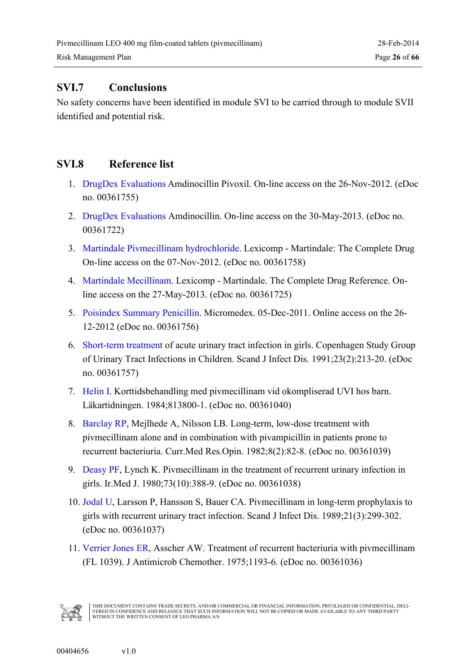### <span id="page-25-0"></span>**SVI.7 Conclusions**

No safety concerns have been identified in module SVI to be carried through to module SVII identified and potential risk.

### **SVI.8 Reference list**

- 1. [DrugDex Evaluations](#page-0-0) Amdinocillin Pivoxil. On-line access on the 26-Nov-2012. (eDoc no. 00361755)
- 2. [DrugDex Evaluations](#page-0-0) Amdinocillin. On-line access on the 30-May-2013. (eDoc no. 00361722)
- 3. [Martindale Pivmecillinam hydrochloride.](#page-0-1) Lexicomp Martindale: The Complete Drug On-line access on the 07-Nov-2012. (eDoc no. 00361758)
- 4. [Martindale Mecillinam.](#page-0-0) Lexicomp Martindale. The Complete Drug Reference. Online access on the 27-May-2013. (eDoc no. 00361725)
- 5. Poisindex [Summary Penicillin.](#page-0-0) Micromedex. 05-Dec-2011. Online access on the 26- 12-2012 (eDoc no. 00361756)
- 6. [Short-term treatment](#page-0-0) of acute urinary tract infection in girls. Copenhagen Study Group of Urinary Tract Infections in Children. Scand J Infect Dis. 1991;23(2):213-20. (eDoc no. 00361757)
- 7. [Helin I.](#page-0-0) Korttidsbehandling med pivmecillinam vid okompliserad UVI hos barn. Läkartidningen. 1984;813800-1. (eDoc no. 00361040)
- 8. [Barclay RP](#page-0-0), Mejlhede A, Nilsson LB. Long-term, low-dose treatment with pivmecillinam alone and in combination with pivampicillin in patients prone to recurrent bacteriuria. Curr.Med Res.Opin. 1982;8(2):82-8. (eDoc no. 00361039)
- 9. [Deasy PF,](#page-0-0) Lynch K. Pivmecillinam in the treatment of recurrent urinary infection in girls. Ir.Med J. 1980;73(10):388-9. (eDoc no. 00361038)
- 10. [Jodal U,](#page-0-0) Larsson P, Hansson S, Bauer CA. Pivmecillinam in long-term prophylaxis to girls with recurrent urinary tract infection. Scand J Infect Dis. 1989;21(3):299-302. (eDoc no. 00361037)
- 11. [Verrier Jones ER,](#page-0-0) Asscher AW. Treatment of recurrent bacteriuria with pivmecillinam (FL 1039). J Antimicrob Chemother. 1975;1193-6. (eDoc no. 00361036)

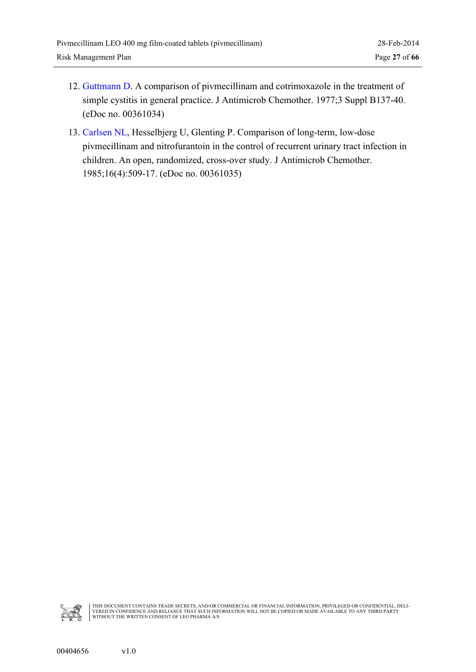- <span id="page-26-0"></span>12. [Guttmann D.](#page-0-0) A comparison of pivmecillinam and cotrimoxazole in the treatment of simple cystitis in general practice. J Antimicrob Chemother. 1977;3 Suppl B137-40. (eDoc no. 00361034)
- 13. [Carlsen NL,](#page-0-0) Hesselbjerg U, Glenting P. Comparison of long-term, low-dose pivmecillinam and nitrofurantoin in the control of recurrent urinary tract infection in children. An open, randomized, cross-over study. J Antimicrob Chemother. 1985;16(4):509-17. (eDoc no. 00361035)

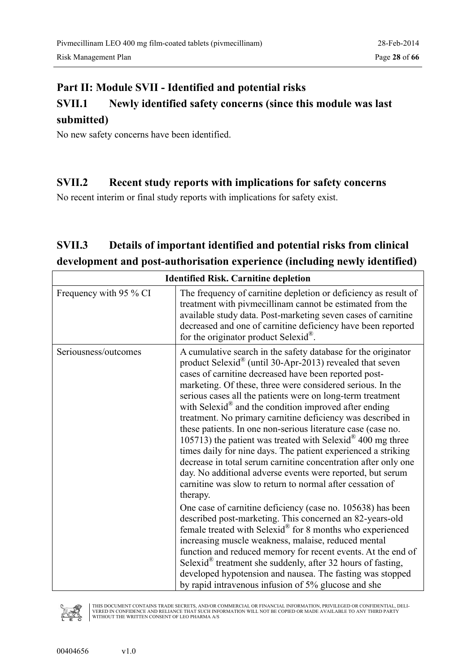### <span id="page-27-0"></span>**Part II: Module SVII - Identified and potential risks**

### **SVII.1 Newly identified safety concerns (since this module was last submitted)**

No new safety concerns have been identified.

#### **SVII.2 Recent study reports with implications for safety concerns**

No recent interim or final study reports with implications for safety exist.

### **SVII.3 Details of important identified and potential risks from clinical development and post-authorisation experience (including newly identified)**

| <b>Identified Risk. Carnitine depletion</b> |                                                                                                                                                                                                                                                                                                                                                                                                                                                                                                                                                                                                                                                                                                                                                                                                                                                                                                                                                                                                                                                                                                                                                                                                                                                                                                                                                                          |  |
|---------------------------------------------|--------------------------------------------------------------------------------------------------------------------------------------------------------------------------------------------------------------------------------------------------------------------------------------------------------------------------------------------------------------------------------------------------------------------------------------------------------------------------------------------------------------------------------------------------------------------------------------------------------------------------------------------------------------------------------------------------------------------------------------------------------------------------------------------------------------------------------------------------------------------------------------------------------------------------------------------------------------------------------------------------------------------------------------------------------------------------------------------------------------------------------------------------------------------------------------------------------------------------------------------------------------------------------------------------------------------------------------------------------------------------|--|
| Frequency with 95 % CI                      | The frequency of carnitine depletion or deficiency as result of<br>treatment with pivmecillinam cannot be estimated from the<br>available study data. Post-marketing seven cases of carnitine<br>decreased and one of carnitine deficiency have been reported<br>for the originator product Selexid <sup>®</sup> .                                                                                                                                                                                                                                                                                                                                                                                                                                                                                                                                                                                                                                                                                                                                                                                                                                                                                                                                                                                                                                                       |  |
| Seriousness/outcomes                        | A cumulative search in the safety database for the originator<br>product Selexid® (until 30-Apr-2013) revealed that seven<br>cases of carnitine decreased have been reported post-<br>marketing. Of these, three were considered serious. In the<br>serious cases all the patients were on long-term treatment<br>with Selexid® and the condition improved after ending<br>treatment. No primary carnitine deficiency was described in<br>these patients. In one non-serious literature case (case no.<br>105713) the patient was treated with Selexid <sup>®</sup> 400 mg three<br>times daily for nine days. The patient experienced a striking<br>decrease in total serum carnitine concentration after only one<br>day. No additional adverse events were reported, but serum<br>carnitine was slow to return to normal after cessation of<br>therapy.<br>One case of carnitine deficiency (case no. 105638) has been<br>described post-marketing. This concerned an 82-years-old<br>female treated with Selexid® for 8 months who experienced<br>increasing muscle weakness, malaise, reduced mental<br>function and reduced memory for recent events. At the end of<br>Selexid <sup>®</sup> treatment she suddenly, after 32 hours of fasting,<br>developed hypotension and nausea. The fasting was stopped<br>by rapid intravenous infusion of 5% glucose and she |  |

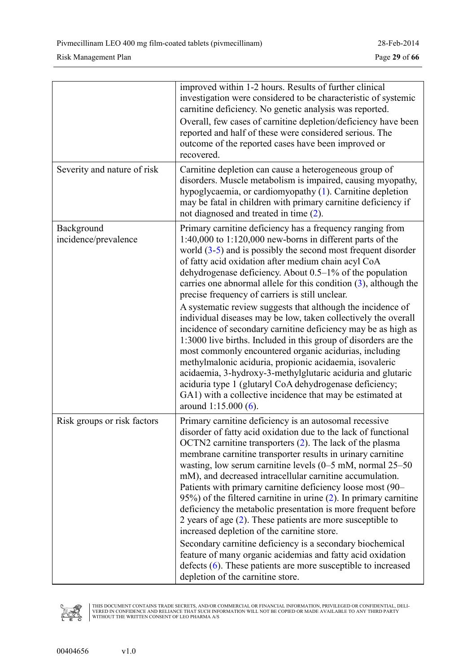|                                    | improved within 1-2 hours. Results of further clinical<br>investigation were considered to be characteristic of systemic<br>carnitine deficiency. No genetic analysis was reported.<br>Overall, few cases of carnitine depletion/deficiency have been<br>reported and half of these were considered serious. The<br>outcome of the reported cases have been improved or<br>recovered.                                                                                                                                                                                                                                                                                                                                                                                                                                                                                                                                                                                                                                                                 |
|------------------------------------|-------------------------------------------------------------------------------------------------------------------------------------------------------------------------------------------------------------------------------------------------------------------------------------------------------------------------------------------------------------------------------------------------------------------------------------------------------------------------------------------------------------------------------------------------------------------------------------------------------------------------------------------------------------------------------------------------------------------------------------------------------------------------------------------------------------------------------------------------------------------------------------------------------------------------------------------------------------------------------------------------------------------------------------------------------|
| Severity and nature of risk        | Carnitine depletion can cause a heterogeneous group of<br>disorders. Muscle metabolism is impaired, causing myopathy,<br>hypoglycaemia, or cardiomyopathy (1). Carnitine depletion<br>may be fatal in children with primary carnitine deficiency if<br>not diagnosed and treated in time $(2)$ .                                                                                                                                                                                                                                                                                                                                                                                                                                                                                                                                                                                                                                                                                                                                                      |
| Background<br>incidence/prevalence | Primary carnitine deficiency has a frequency ranging from<br>$1:40,000$ to $1:120,000$ new-borns in different parts of the<br>world $(3-5)$ and is possibly the second most frequent disorder<br>of fatty acid oxidation after medium chain acyl CoA<br>dehydrogenase deficiency. About 0.5-1% of the population<br>carries one abnormal allele for this condition $(3)$ , although the<br>precise frequency of carriers is still unclear.<br>A systematic review suggests that although the incidence of<br>individual diseases may be low, taken collectively the overall<br>incidence of secondary carnitine deficiency may be as high as<br>1:3000 live births. Included in this group of disorders are the<br>most commonly encountered organic acidurias, including<br>methylmalonic aciduria, propionic acidaemia, isovaleric<br>acidaemia, 3-hydroxy-3-methylglutaric aciduria and glutaric<br>aciduria type 1 (glutaryl CoA dehydrogenase deficiency;<br>GA1) with a collective incidence that may be estimated at<br>around $1:15.000(6)$ . |
| Risk groups or risk factors        | Primary carnitine deficiency is an autosomal recessive<br>disorder of fatty acid oxidation due to the lack of functional<br>OCTN2 carnitine transporters $(2)$ . The lack of the plasma<br>membrane carnitine transporter results in urinary carnitine<br>wasting, low serum carnitine levels $(0-5$ mM, normal $25-50$<br>mM), and decreased intracellular carnitine accumulation.<br>Patients with primary carnitine deficiency loose most (90–<br>95%) of the filtered carnitine in urine $(2)$ . In primary carnitine<br>deficiency the metabolic presentation is more frequent before<br>2 years of age $(2)$ . These patients are more susceptible to<br>increased depletion of the carnitine store.<br>Secondary carnitine deficiency is a secondary biochemical<br>feature of many organic acidemias and fatty acid oxidation<br>defects $(6)$ . These patients are more susceptible to increased<br>depletion of the carnitine store.                                                                                                        |

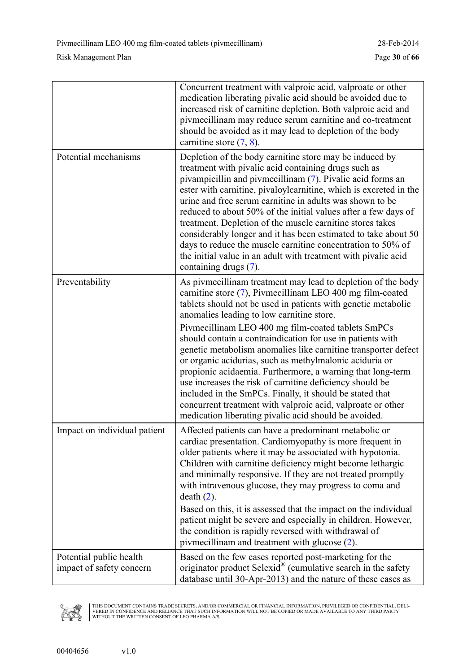|                                                     | Concurrent treatment with valproic acid, valproate or other<br>medication liberating pivalic acid should be avoided due to<br>increased risk of carnitine depletion. Both valproic acid and<br>pivmecillinam may reduce serum carnitine and co-treatment<br>should be avoided as it may lead to depletion of the body<br>carnitine store $(7, 8)$ .                                                                                                                                                                                                                                                                                                                                                                                                                                                    |
|-----------------------------------------------------|--------------------------------------------------------------------------------------------------------------------------------------------------------------------------------------------------------------------------------------------------------------------------------------------------------------------------------------------------------------------------------------------------------------------------------------------------------------------------------------------------------------------------------------------------------------------------------------------------------------------------------------------------------------------------------------------------------------------------------------------------------------------------------------------------------|
| Potential mechanisms                                | Depletion of the body carnitine store may be induced by<br>treatment with pivalic acid containing drugs such as<br>pivampicillin and pivmecillinam (7). Pivalic acid forms an<br>ester with carnitine, pivaloylcarnitine, which is excreted in the<br>urine and free serum carnitine in adults was shown to be<br>reduced to about 50% of the initial values after a few days of<br>treatment. Depletion of the muscle carnitine stores takes<br>considerably longer and it has been estimated to take about 50<br>days to reduce the muscle carnitine concentration to 50% of<br>the initial value in an adult with treatment with pivalic acid<br>containing drugs (7).                                                                                                                              |
| Preventability                                      | As pivmecillinam treatment may lead to depletion of the body<br>carnitine store (7), Pivmecillinam LEO 400 mg film-coated<br>tablets should not be used in patients with genetic metabolic<br>anomalies leading to low carnitine store.<br>Pivmecillinam LEO 400 mg film-coated tablets SmPCs<br>should contain a contraindication for use in patients with<br>genetic metabolism anomalies like carnitine transporter defect<br>or organic acidurias, such as methylmalonic aciduria or<br>propionic acidaemia. Furthermore, a warning that long-term<br>use increases the risk of carnitine deficiency should be<br>included in the SmPCs. Finally, it should be stated that<br>concurrent treatment with valproic acid, valproate or other<br>medication liberating pivalic acid should be avoided. |
| Impact on individual patient                        | Affected patients can have a predominant metabolic or<br>cardiac presentation. Cardiomyopathy is more frequent in<br>older patients where it may be associated with hypotonia.<br>Children with carnitine deficiency might become lethargic<br>and minimally responsive. If they are not treated promptly<br>with intravenous glucose, they may progress to coma and<br>$death(2)$ .<br>Based on this, it is assessed that the impact on the individual<br>patient might be severe and especially in children. However,<br>the condition is rapidly reversed with withdrawal of<br>pivmecillinam and treatment with glucose (2).                                                                                                                                                                       |
| Potential public health<br>impact of safety concern | Based on the few cases reported post-marketing for the<br>originator product $S$ elexid <sup>®</sup> (cumulative search in the safety<br>database until 30-Apr-2013) and the nature of these cases as                                                                                                                                                                                                                                                                                                                                                                                                                                                                                                                                                                                                  |

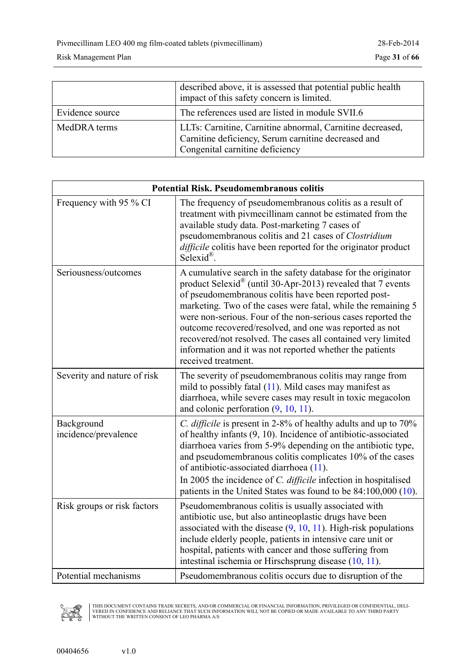|                 | described above, it is assessed that potential public health<br>impact of this safety concern is limited.                                           |  |
|-----------------|-----------------------------------------------------------------------------------------------------------------------------------------------------|--|
| Evidence source | The references used are listed in module SVII.6                                                                                                     |  |
| MedDRA terms    | LLTs: Carnitine, Carnitine abnormal, Carnitine decreased,<br>Carnitine deficiency, Serum carnitine decreased and<br>Congenital carnitine deficiency |  |

| <b>Potential Risk. Pseudomembranous colitis</b> |                                                                                                                                                                                                                                                                                                                                                                                                                                                                                                                                                 |  |
|-------------------------------------------------|-------------------------------------------------------------------------------------------------------------------------------------------------------------------------------------------------------------------------------------------------------------------------------------------------------------------------------------------------------------------------------------------------------------------------------------------------------------------------------------------------------------------------------------------------|--|
| Frequency with 95 % CI                          | The frequency of pseudomembranous colitis as a result of<br>treatment with pivmecillinam cannot be estimated from the<br>available study data. Post-marketing 7 cases of<br>pseudomembranous colitis and 21 cases of Clostridium<br>difficile colitis have been reported for the originator product<br>Selexid <sup>®</sup> .                                                                                                                                                                                                                   |  |
| Seriousness/outcomes                            | A cumulative search in the safety database for the originator<br>product Selexid <sup>®</sup> (until 30-Apr-2013) revealed that 7 events<br>of pseudomembranous colitis have been reported post-<br>marketing. Two of the cases were fatal, while the remaining 5<br>were non-serious. Four of the non-serious cases reported the<br>outcome recovered/resolved, and one was reported as not<br>recovered/not resolved. The cases all contained very limited<br>information and it was not reported whether the patients<br>received treatment. |  |
| Severity and nature of risk                     | The severity of pseudomembranous colitis may range from<br>mild to possibly fatal (11). Mild cases may manifest as<br>diarrhoea, while severe cases may result in toxic megacolon<br>and colonic perforation $(9, 10, 11)$ .                                                                                                                                                                                                                                                                                                                    |  |
| Background<br>incidence/prevalence              | <i>C. difficile</i> is present in 2-8% of healthy adults and up to 70%<br>of healthy infants (9, 10). Incidence of antibiotic-associated<br>diarrhoea varies from 5-9% depending on the antibiotic type,<br>and pseudomembranous colitis complicates 10% of the cases<br>of antibiotic-associated diarrhoea (11).<br>In 2005 the incidence of C. difficile infection in hospitalised<br>patients in the United States was found to be 84:100,000 (10).                                                                                          |  |
| Risk groups or risk factors                     | Pseudomembranous colitis is usually associated with<br>antibiotic use, but also antineoplastic drugs have been<br>associated with the disease $(9, 10, 11)$ . High-risk populations<br>include elderly people, patients in intensive care unit or<br>hospital, patients with cancer and those suffering from<br>intestinal ischemia or Hirschsprung disease (10, 11).                                                                                                                                                                           |  |
| Potential mechanisms                            | Pseudomembranous colitis occurs due to disruption of the                                                                                                                                                                                                                                                                                                                                                                                                                                                                                        |  |

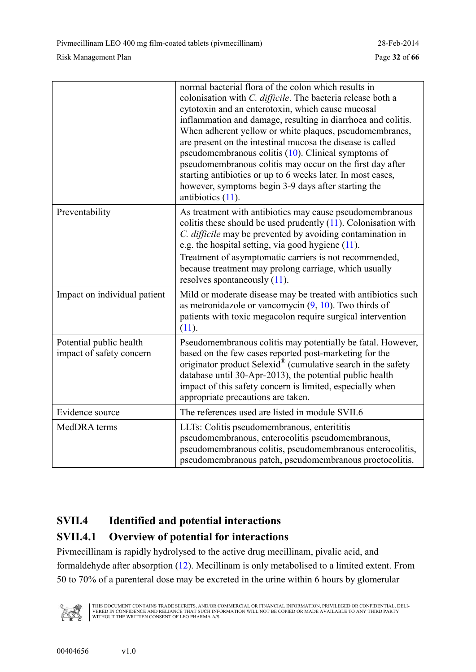<span id="page-31-0"></span>

|                                                     | normal bacterial flora of the colon which results in<br>colonisation with C. difficile. The bacteria release both a<br>cytotoxin and an enterotoxin, which cause mucosal<br>inflammation and damage, resulting in diarrhoea and colitis.<br>When adherent yellow or white plaques, pseudomembranes,<br>are present on the intestinal mucosa the disease is called<br>pseudomembranous colitis $(10)$ . Clinical symptoms of<br>pseudomembranous colitis may occur on the first day after<br>starting antibiotics or up to 6 weeks later. In most cases,<br>however, symptoms begin 3-9 days after starting the<br>antibiotics $(11)$ . |
|-----------------------------------------------------|----------------------------------------------------------------------------------------------------------------------------------------------------------------------------------------------------------------------------------------------------------------------------------------------------------------------------------------------------------------------------------------------------------------------------------------------------------------------------------------------------------------------------------------------------------------------------------------------------------------------------------------|
| Preventability                                      | As treatment with antibiotics may cause pseudomembranous<br>colitis these should be used prudently $(11)$ . Colonisation with<br>C. difficile may be prevented by avoiding contamination in<br>e.g. the hospital setting, via good hygiene $(11)$ .<br>Treatment of asymptomatic carriers is not recommended,<br>because treatment may prolong carriage, which usually<br>resolves spontaneously $(11)$ .                                                                                                                                                                                                                              |
| Impact on individual patient                        | Mild or moderate disease may be treated with antibiotics such<br>as metronidazole or vancomycin $(9, 10)$ . Two thirds of<br>patients with toxic megacolon require surgical intervention<br>(11).                                                                                                                                                                                                                                                                                                                                                                                                                                      |
| Potential public health<br>impact of safety concern | Pseudomembranous colitis may potentially be fatal. However,<br>based on the few cases reported post-marketing for the<br>originator product Selexid <sup>®</sup> (cumulative search in the safety<br>database until 30-Apr-2013), the potential public health<br>impact of this safety concern is limited, especially when<br>appropriate precautions are taken.                                                                                                                                                                                                                                                                       |
| Evidence source                                     | The references used are listed in module SVII.6                                                                                                                                                                                                                                                                                                                                                                                                                                                                                                                                                                                        |
| MedDRA terms                                        | LLTs: Colitis pseudomembranous, enterititis<br>pseudomembranous, enterocolitis pseudomembranous,<br>pseudomembranous colitis, pseudomembranous enterocolitis,<br>pseudomembranous patch, pseudomembranous proctocolitis.                                                                                                                                                                                                                                                                                                                                                                                                               |

### **SVII.4 Identified and potential interactions**

### **SVII.4.1 Overview of potential for interactions**

Pivmecillinam is rapidly hydrolysed to the active drug mecillinam, pivalic acid, and formaldehyde after absorption ([12\)](#page-34-0). Mecillinam is only metabolised to a limited extent. From 50 to 70% of a parenteral dose may be excreted in the urine within 6 hours by glomerular

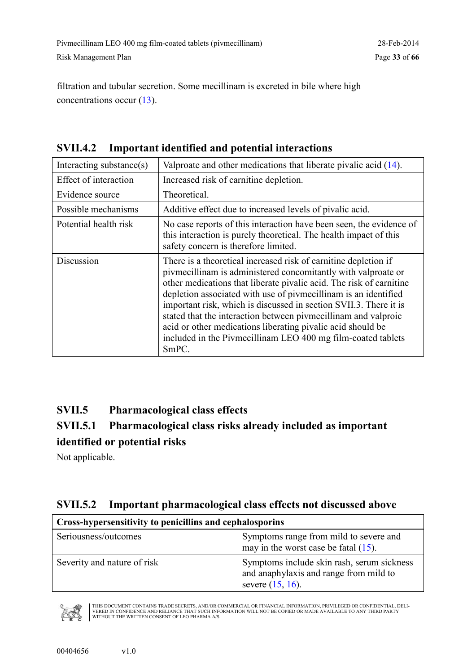<span id="page-32-0"></span>filtration and tubular secretion. Some mecillinam is excreted in bile where high concentrations occur ([13\)](#page-34-0).

|  | <b>SVII.4.2</b> Important identified and potential interactions |  |
|--|-----------------------------------------------------------------|--|
|--|-----------------------------------------------------------------|--|

| Interacting substance(s) | Valproate and other medications that liberate pivalic acid (14).                                                                                                                                                                                                                                                                                                                                                                                                                                                                                             |  |
|--------------------------|--------------------------------------------------------------------------------------------------------------------------------------------------------------------------------------------------------------------------------------------------------------------------------------------------------------------------------------------------------------------------------------------------------------------------------------------------------------------------------------------------------------------------------------------------------------|--|
| Effect of interaction    | Increased risk of carnitine depletion.                                                                                                                                                                                                                                                                                                                                                                                                                                                                                                                       |  |
| Evidence source          | Theoretical.                                                                                                                                                                                                                                                                                                                                                                                                                                                                                                                                                 |  |
| Possible mechanisms      | Additive effect due to increased levels of pivalic acid.                                                                                                                                                                                                                                                                                                                                                                                                                                                                                                     |  |
| Potential health risk    | No case reports of this interaction have been seen, the evidence of<br>this interaction is purely theoretical. The health impact of this<br>safety concern is therefore limited.                                                                                                                                                                                                                                                                                                                                                                             |  |
| Discussion               | There is a theoretical increased risk of carnitine depletion if<br>pivmecillinam is administered concomitantly with valproate or<br>other medications that liberate pivalic acid. The risk of carnitine<br>depletion associated with use of pivmecillinam is an identified<br>important risk, which is discussed in section SVII.3. There it is<br>stated that the interaction between pivmecillinam and valproic<br>acid or other medications liberating pivalic acid should be<br>included in the Pivmecillinam LEO 400 mg film-coated tablets<br>$SmPC$ . |  |

### **SVII.5 Pharmacological class effects**

### **SVII.5.1 Pharmacological class risks already included as important identified or potential risks**

Not applicable.

### **SVII.5.2 Important pharmacological class effects not discussed above**

| Cross-hypersensitivity to penicillins and cephalosporins |                                                                                                             |  |
|----------------------------------------------------------|-------------------------------------------------------------------------------------------------------------|--|
| Seriousness/outcomes                                     | Symptoms range from mild to severe and<br>may in the worst case be fatal $(15)$ .                           |  |
| Severity and nature of risk                              | Symptoms include skin rash, serum sickness<br>and anaphylaxis and range from mild to<br>severe $(15, 16)$ . |  |

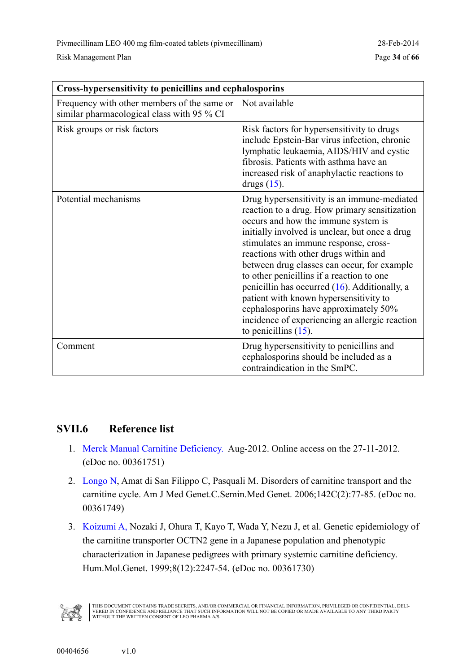<span id="page-33-0"></span>

| <b>Cross-hypersensitivity to penicillins and cephalosporins</b>                           |                                                                                                                                                                                                                                                                                                                                                                                                                                                                                                                                                                                         |  |
|-------------------------------------------------------------------------------------------|-----------------------------------------------------------------------------------------------------------------------------------------------------------------------------------------------------------------------------------------------------------------------------------------------------------------------------------------------------------------------------------------------------------------------------------------------------------------------------------------------------------------------------------------------------------------------------------------|--|
| Frequency with other members of the same or<br>similar pharmacological class with 95 % CI | Not available                                                                                                                                                                                                                                                                                                                                                                                                                                                                                                                                                                           |  |
| Risk groups or risk factors                                                               | Risk factors for hypersensitivity to drugs<br>include Epstein-Bar virus infection, chronic<br>lymphatic leukaemia, AIDS/HIV and cystic<br>fibrosis. Patients with asthma have an<br>increased risk of anaphylactic reactions to<br>drugs $(15)$ .                                                                                                                                                                                                                                                                                                                                       |  |
| Potential mechanisms                                                                      | Drug hypersensitivity is an immune-mediated<br>reaction to a drug. How primary sensitization<br>occurs and how the immune system is<br>initially involved is unclear, but once a drug<br>stimulates an immune response, cross-<br>reactions with other drugs within and<br>between drug classes can occur, for example<br>to other penicillins if a reaction to one<br>penicillin has occurred $(16)$ . Additionally, a<br>patient with known hypersensitivity to<br>cephalosporins have approximately 50%<br>incidence of experiencing an allergic reaction<br>to penicillins $(15)$ . |  |
| Comment                                                                                   | Drug hypersensitivity to penicillins and<br>cephalosporins should be included as a<br>contraindication in the SmPC.                                                                                                                                                                                                                                                                                                                                                                                                                                                                     |  |

#### **SVII.6 Reference list**

- 1. [Merck Manual Carnitine Deficiency.](#page-0-0) Aug-2012. Online access on the 27-11-2012. (eDoc no. 00361751)
- 2. [Longo N,](#page-0-0) Amat di San Filippo C, Pasquali M. Disorders of carnitine transport and the carnitine cycle. Am J Med Genet.C.Semin.Med Genet. 2006;142C(2):77-85. (eDoc no. 00361749)
- 3. [Koizumi A,](#page-0-0) Nozaki J, Ohura T, Kayo T, Wada Y, Nezu J, et al. Genetic epidemiology of the carnitine transporter OCTN2 gene in a Japanese population and phenotypic characterization in Japanese pedigrees with primary systemic carnitine deficiency. Hum.Mol.Genet. 1999;8(12):2247-54. (eDoc no. 00361730)

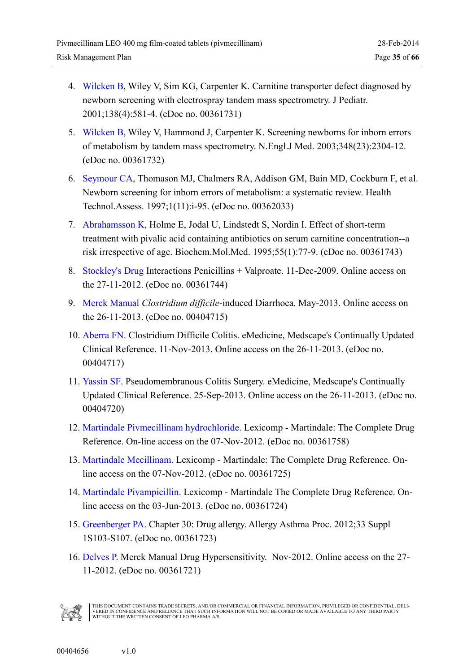- <span id="page-34-0"></span>4. [Wilcken B,](#page-0-0) Wiley V, Sim KG, Carpenter K. Carnitine transporter defect diagnosed by newborn screening with electrospray tandem mass spectrometry. J Pediatr. 2001;138(4):581-4. (eDoc no. 00361731)
- 5. [Wilcken B,](#page-0-0) Wiley V, Hammond J, Carpenter K. Screening newborns for inborn errors of metabolism by tandem mass spectrometry. N.Engl.J Med. 2003;348(23):2304-12. (eDoc no. 00361732)
- 6. [Seymour CA,](#page-0-0) Thomason MJ, Chalmers RA, Addison GM, Bain MD, Cockburn F, et al. Newborn screening for inborn errors of metabolism: a systematic review. Health Technol.Assess. 1997;1(11):i-95. (eDoc no. 00362033)
- 7. [Abrahamsson K,](#page-0-0) Holme E, Jodal U, Lindstedt S, Nordin I. Effect of short-term treatment with pivalic acid containing antibiotics on serum carnitine concentration--a risk irrespective of age. Biochem.Mol.Med. 1995;55(1):77-9. (eDoc no. 00361743)
- 8. [Stockley's Drug](#page-0-0) Interactions Penicillins + Valproate. 11-Dec-2009. Online access on the 27-11-2012. (eDoc no. 00361744)
- 9. Merck Manual *Clostridium difficile*-induced Diarrhoea. May-2013. Online access on the 26-11-2013. (eDoc no. 00404715)
- 10. Aberra FN. Clostridium Difficile Colitis. eMedicine, Medscape's Continually Updated Clinical Reference. 11-Nov-2013. Online access on the 26-11-2013. (eDoc no. 00404717)
- 11. Yassin SF. Pseudomembranous Colitis Surgery. eMedicine, Medscape's Continually Updated Clinical Reference. 25-Sep-2013. Online access on the 26-11-2013. (eDoc no. 00404720)
- 12. [Martindale Pivmecillinam hydrochloride.](#page-0-0) Lexicomp Martindale: The Complete Drug Reference. On-line access on the 07-Nov-2012. (eDoc no. 00361758)
- 13. [Martindale Mecillinam.](#page-0-0) Lexicomp Martindale: The Complete Drug Reference. Online access on the 07-Nov-2012. (eDoc no. 00361725)
- 14. [Martindale Pivampicillin.](#page-0-0) Lexicomp Martindale The Complete Drug Reference. Online access on the 03-Jun-2013. (eDoc no. 00361724)
- 15. [Greenberger PA.](#page-0-0) Chapter 30: Drug allergy. Allergy Asthma Proc. 2012;33 Suppl 1S103-S107. (eDoc no. 00361723)
- 16. [Delves P.](#page-0-0) Merck Manual Drug Hypersensitivity. Nov-2012. Online access on the 27- 11-2012. (eDoc no. 00361721)

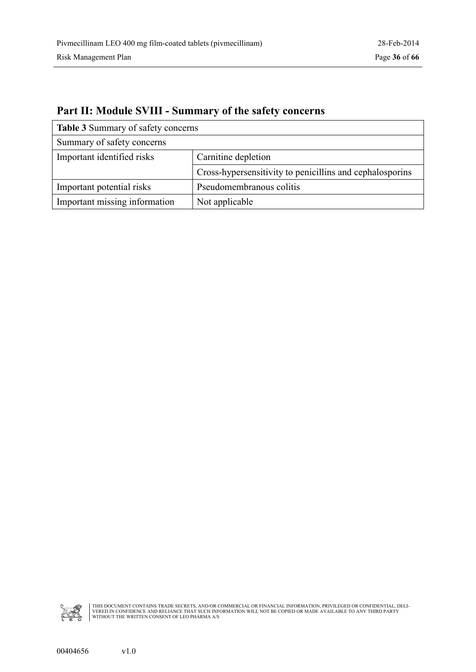| <b>Table 3 Summary of safety concerns</b> |                                                          |  |
|-------------------------------------------|----------------------------------------------------------|--|
| Summary of safety concerns                |                                                          |  |
| Important identified risks                | Carnitine depletion                                      |  |
|                                           | Cross-hypersensitivity to penicillins and cephalosporins |  |
| Important potential risks                 | Pseudomembranous colitis                                 |  |
| Important missing information             | Not applicable                                           |  |

### <span id="page-35-0"></span>**Part II: Module SVIII - Summary of the safety concerns**

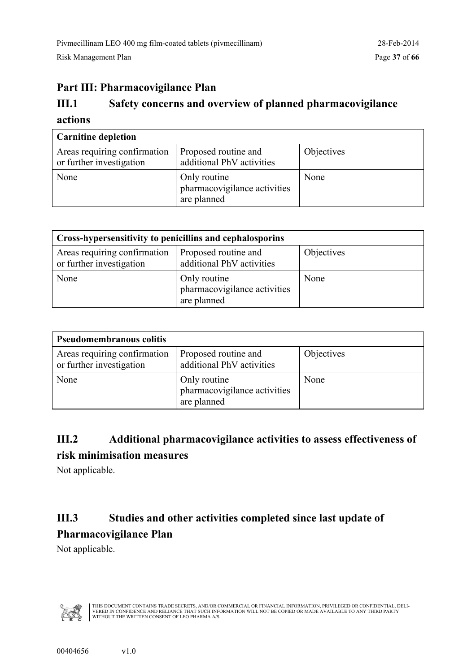### <span id="page-36-0"></span>**Part III: Pharmacovigilance Plan**

### **III.1 Safety concerns and overview of planned pharmacovigilance actions**

| <b>Carnitine depletion</b>                               |                                                             |            |
|----------------------------------------------------------|-------------------------------------------------------------|------------|
| Areas requiring confirmation<br>or further investigation | Proposed routine and<br>additional PhV activities           | Objectives |
| None                                                     | Only routine<br>pharmacovigilance activities<br>are planned | None       |

| Cross-hypersensitivity to penicillins and cephalosporins |                                                             |            |
|----------------------------------------------------------|-------------------------------------------------------------|------------|
| Areas requiring confirmation<br>or further investigation | Proposed routine and<br>additional PhV activities           | Objectives |
| None                                                     | Only routine<br>pharmacovigilance activities<br>are planned | None       |

| <b>Pseudomembranous colitis</b>                          |                                                             |            |
|----------------------------------------------------------|-------------------------------------------------------------|------------|
| Areas requiring confirmation<br>or further investigation | Proposed routine and<br>additional PhV activities           | Objectives |
| None                                                     | Only routine<br>pharmacovigilance activities<br>are planned | None       |

### **III.2 Additional pharmacovigilance activities to assess effectiveness of risk minimisation measures**

Not applicable.

### **III.3 Studies and other activities completed since last update of Pharmacovigilance Plan**

Not applicable.

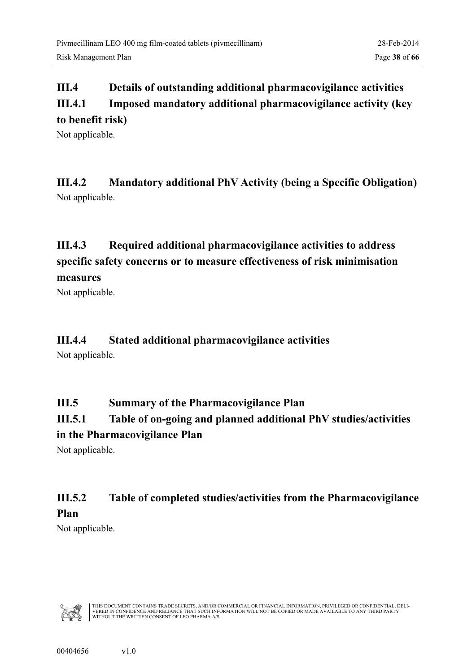### <span id="page-37-0"></span>**III.4 Details of outstanding additional pharmacovigilance activities III.4.1 Imposed mandatory additional pharmacovigilance activity (key to benefit risk)**

Not applicable.

**III.4.2 Mandatory additional PhV Activity (being a Specific Obligation)** Not applicable.

### **III.4.3 Required additional pharmacovigilance activities to address specific safety concerns or to measure effectiveness of risk minimisation measures**

Not applicable.

### **III.4.4 Stated additional pharmacovigilance activities**

Not applicable.

### **III.5 Summary of the Pharmacovigilance Plan**

### **III.5.1 Table of on-going and planned additional PhV studies/activities**

#### **in the Pharmacovigilance Plan**

Not applicable.

### **III.5.2 Table of completed studies/activities from the Pharmacovigilance Plan**

Not applicable.

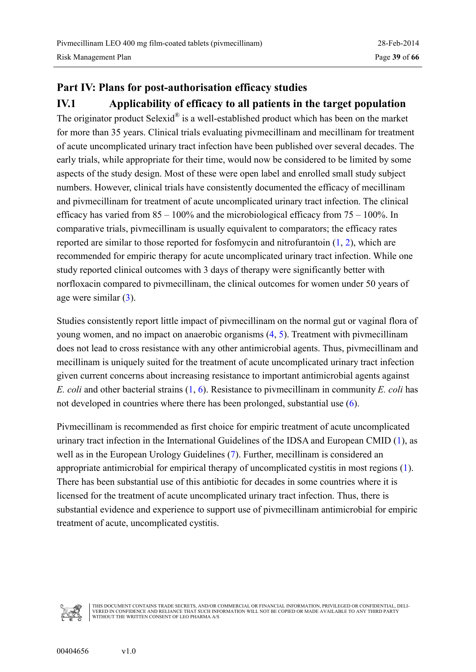### <span id="page-38-0"></span>**Part IV: Plans for post-authorisation efficacy studies IV.1 Applicability of efficacy to all patients in the target population**

The originator product Selexid $^{\circledR}$  is a well-established product which has been on the market for more than 35 years. Clinical trials evaluating pivmecillinam and mecillinam for treatment of acute uncomplicated urinary tract infection have been published over several decades. The early trials, while appropriate for their time, would now be considered to be limited by some aspects of the study design. Most of these were open label and enrolled small study subject numbers. However, clinical trials have consistently documented the efficacy of mecillinam and pivmecillinam for treatment of acute uncomplicated urinary tract infection. The clinical efficacy has varied from  $85 - 100\%$  and the microbiological efficacy from  $75 - 100\%$ . In comparative trials, pivmecillinam is usually equivalent to comparators; the efficacy rates reported are similar to those reported for fosfomycin and nitrofurantoin ([1,](#page-39-0) [2\)](#page-39-0), which are recommended for empiric therapy for acute uncomplicated urinary tract infection. While one study reported clinical outcomes with 3 days of therapy were significantly better with norfloxacin compared to pivmecillinam, the clinical outcomes for women under 50 years of age were similar ([3\)](#page-39-0).

Studies consistently report little impact of pivmecillinam on the normal gut or vaginal flora of young women, and no impact on anaerobic organisms ([4,](#page-40-0) [5\)](#page-40-0). Treatment with pivmecillinam does not lead to cross resistance with any other antimicrobial agents. Thus, pivmecillinam and mecillinam is uniquely suited for the treatment of acute uncomplicated urinary tract infection given current concerns about increasing resistance to important antimicrobial agents against *E. coli* and other bacterial strains ([1,](#page-39-0) [6\)](#page-40-0). Resistance to pivmecillinam in community *E. coli* has not developed in countries where there has been prolonged, substantial use ([6\)](#page-40-0).

Pivmecillinam is recommended as first choice for empiric treatment of acute uncomplicated urinary tract infection in the International Guidelines of the IDSA and European CMID ([1\)](#page-39-0), as well as in the European Urology Guidelines ([7\)](#page-40-0). Further, mecillinam is considered an appropriate antimicrobial for empirical therapy of uncomplicated cystitis in most regions ([1\)](#page-39-0). There has been substantial use of this antibiotic for decades in some countries where it is licensed for the treatment of acute uncomplicated urinary tract infection. Thus, there is substantial evidence and experience to support use of pivmecillinam antimicrobial for empiric treatment of acute, uncomplicated cystitis.

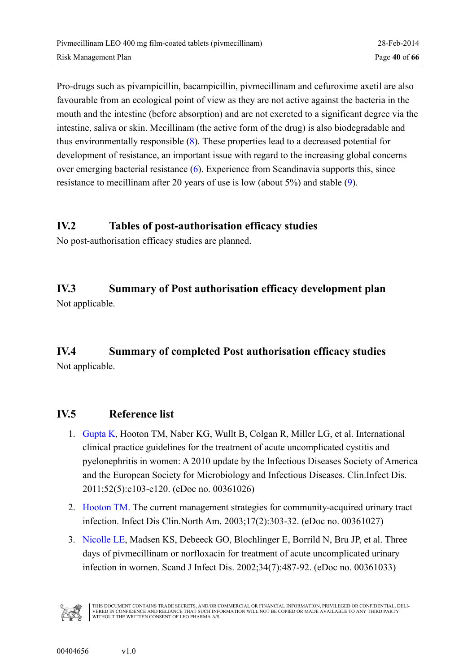<span id="page-39-0"></span>Pro-drugs such as pivampicillin, bacampicillin, pivmecillinam and cefuroxime axetil are also favourable from an ecological point of view as they are not active against the bacteria in the mouth and the intestine (before absorption) and are not excreted to a significant degree via the intestine, saliva or skin. Mecillinam (the active form of the drug) is also biodegradable and thus environmentally responsible ([8\)](#page-40-0). These properties lead to a decreased potential for development of resistance, an important issue with regard to the increasing global concerns over emerging bacterial resistance ([6\)](#page-40-0). Experience from Scandinavia supports this, since resistance to mecillinam after 20 years of use is low (about 5%) and stable ([9\)](#page-40-0).

#### **IV.2 Tables of post-authorisation efficacy studies**

No post-authorisation efficacy studies are planned.

# **IV.3 Summary of Post authorisation efficacy development plan**

Not applicable.

### **IV.4 Summary of completed Post authorisation efficacy studies**  Not applicable.

#### **IV.5 Reference list**

- 1. [Gupta K,](#page-0-0) Hooton TM, Naber KG, Wullt B, Colgan R, Miller LG, et al. International clinical practice guidelines for the treatment of acute uncomplicated cystitis and pyelonephritis in women: A 2010 update by the Infectious Diseases Society of America and the European Society for Microbiology and Infectious Diseases. Clin.Infect Dis. 2011;52(5):e103-e120. (eDoc no. 00361026)
- 2. [Hooton TM.](#page-0-0) The current management strategies for community-acquired urinary tract infection. Infect Dis Clin.North Am. 2003;17(2):303-32. (eDoc no. 00361027)
- 3. [Nicolle LE](#page-0-0), Madsen KS, Debeeck GO, Blochlinger E, Borrild N, Bru JP, et al. Three days of pivmecillinam or norfloxacin for treatment of acute uncomplicated urinary infection in women. Scand J Infect Dis. 2002;34(7):487-92. (eDoc no. 00361033)

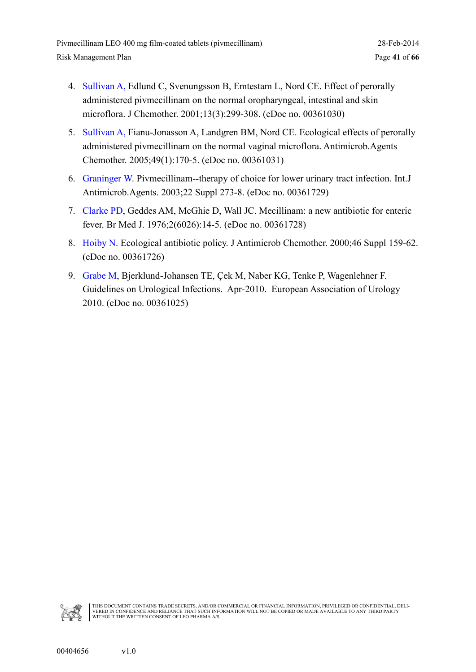- <span id="page-40-0"></span>4. [Sullivan A,](#page-0-0) Edlund C, Svenungsson B, Emtestam L, Nord CE. Effect of perorally administered pivmecillinam on the normal oropharyngeal, intestinal and skin microflora. J Chemother. 2001;13(3):299-308. (eDoc no. 00361030)
- 5. [Sullivan A,](#page-0-0) Fianu-Jonasson A, Landgren BM, Nord CE. Ecological effects of perorally administered pivmecillinam on the normal vaginal microflora. Antimicrob.Agents Chemother. 2005;49(1):170-5. (eDoc no. 00361031)
- 6. [Graninger W.](#page-0-0) Pivmecillinam--therapy of choice for lower urinary tract infection. Int.J Antimicrob.Agents. 2003;22 Suppl 273-8. (eDoc no. 00361729)
- 7. [Clarke PD,](#page-0-0) Geddes AM, McGhie D, Wall JC. Mecillinam: a new antibiotic for enteric fever. Br Med J. 1976;2(6026):14-5. (eDoc no. 00361728)
- 8. [Hoiby N.](#page-0-0) Ecological antibiotic policy. J Antimicrob Chemother. 2000;46 Suppl 159-62. (eDoc no. 00361726)
- 9. [Grabe M,](#page-0-0) Bjerklund-Johansen TE, Çek M, Naber KG, Tenke P, Wagenlehner F. Guidelines on Urological Infections. Apr-2010. European Association of Urology 2010. (eDoc no. 00361025)

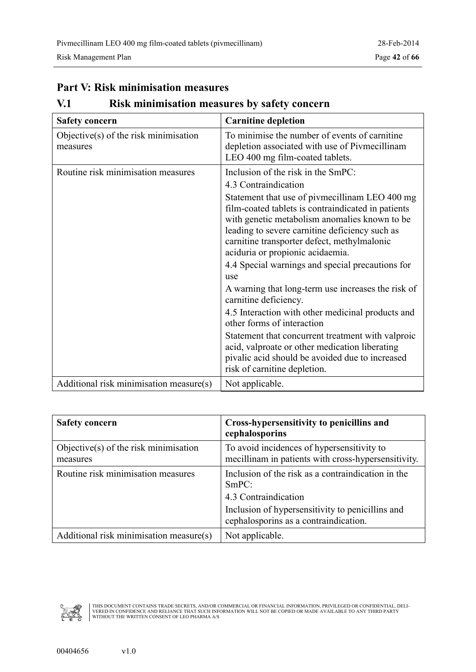#### <span id="page-41-0"></span>**Part V: Risk minimisation measures**

### **V.1 Risk minimisation measures by safety concern**

| <b>Safety concern</b>                                | <b>Carnitine depletion</b>                                                                                                                                                                                                                                                                 |
|------------------------------------------------------|--------------------------------------------------------------------------------------------------------------------------------------------------------------------------------------------------------------------------------------------------------------------------------------------|
| Objective $(s)$ of the risk minimisation<br>measures | To minimise the number of events of carnitine.<br>depletion associated with use of Pivmecillinam<br>LEO 400 mg film-coated tablets.                                                                                                                                                        |
| Routine risk minimisation measures                   | Inclusion of the risk in the SmPC:                                                                                                                                                                                                                                                         |
|                                                      | 4.3 Contraindication                                                                                                                                                                                                                                                                       |
|                                                      | Statement that use of pivmecillinam LEO 400 mg<br>film-coated tablets is contraindicated in patients<br>with genetic metabolism anomalies known to be<br>leading to severe carnitine deficiency such as<br>carnitine transporter defect, methylmalonic<br>aciduria or propionic acidaemia. |
|                                                      | 4.4 Special warnings and special precautions for<br>use                                                                                                                                                                                                                                    |
|                                                      | A warning that long-term use increases the risk of<br>carnitine deficiency.                                                                                                                                                                                                                |
|                                                      | 4.5 Interaction with other medicinal products and<br>other forms of interaction                                                                                                                                                                                                            |
|                                                      | Statement that concurrent treatment with valproic<br>acid, valproate or other medication liberating<br>pivalic acid should be avoided due to increased<br>risk of carnitine depletion.                                                                                                     |
| Additional risk minimisation measure(s)              | Not applicable.                                                                                                                                                                                                                                                                            |

| <b>Safety concern</b>                                | Cross-hypersensitivity to penicillins and<br>cephalosporins                                                                                                                      |
|------------------------------------------------------|----------------------------------------------------------------------------------------------------------------------------------------------------------------------------------|
| Objective $(s)$ of the risk minimisation<br>measures | To avoid incidences of hypersensitivity to<br>mecillinam in patients with cross-hypersensitivity.                                                                                |
| Routine risk minimisation measures                   | Inclusion of the risk as a contraindication in the<br>SmPC:<br>4.3 Contraindication<br>Inclusion of hypersensitivity to penicilling and<br>cephalosporins as a contraindication. |
| Additional risk minimisation measure(s)              | Not applicable.                                                                                                                                                                  |

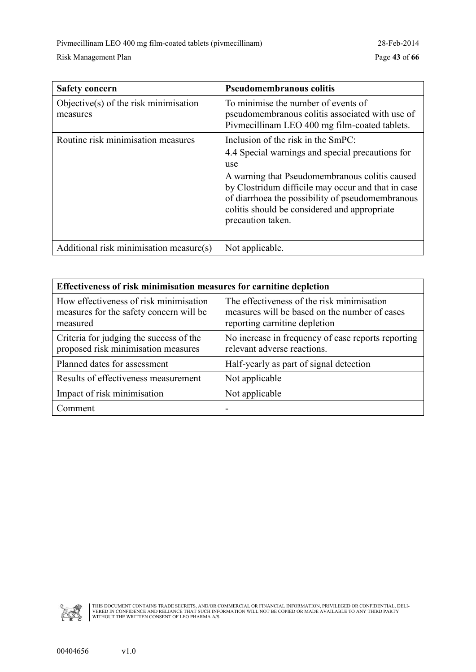| <b>Safety concern</b>                                | <b>Pseudomembranous colitis</b>                                                                                                                                                                                                                                                                                                |
|------------------------------------------------------|--------------------------------------------------------------------------------------------------------------------------------------------------------------------------------------------------------------------------------------------------------------------------------------------------------------------------------|
| Objective $(s)$ of the risk minimisation<br>measures | To minimise the number of events of<br>pseudomembranous colitis associated with use of<br>Pivmecillinam LEO 400 mg film-coated tablets.                                                                                                                                                                                        |
| Routine risk minimisation measures                   | Inclusion of the risk in the SmPC:<br>4.4 Special warnings and special precautions for<br>use<br>A warning that Pseudomembranous colitis caused<br>by Clostridum difficile may occur and that in case<br>of diarrhoea the possibility of pseudomembranous<br>colitis should be considered and appropriate<br>precaution taken. |
| Additional risk minimisation measure(s)              | Not applicable.                                                                                                                                                                                                                                                                                                                |

| Effectiveness of risk minimisation measures for carnitine depletion                           |                                                                                                                              |  |  |
|-----------------------------------------------------------------------------------------------|------------------------------------------------------------------------------------------------------------------------------|--|--|
| How effectiveness of risk minimisation<br>measures for the safety concern will be<br>measured | The effectiveness of the risk minimisation<br>measures will be based on the number of cases<br>reporting carnitine depletion |  |  |
| Criteria for judging the success of the<br>proposed risk minimisation measures                | No increase in frequency of case reports reporting<br>relevant adverse reactions.                                            |  |  |
| Planned dates for assessment                                                                  | Half-yearly as part of signal detection                                                                                      |  |  |
| Results of effectiveness measurement                                                          | Not applicable                                                                                                               |  |  |
| Impact of risk minimisation                                                                   | Not applicable                                                                                                               |  |  |
| Comment                                                                                       |                                                                                                                              |  |  |

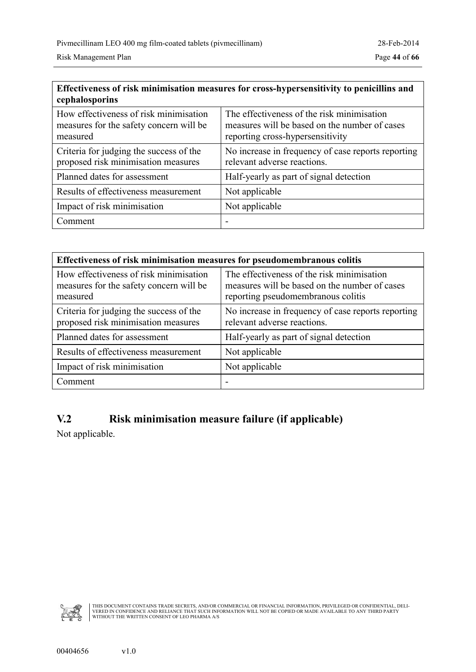<span id="page-43-0"></span>

| Effectiveness of risk minimisation measures for cross-hypersensitivity to penicillins and<br>cephalosporins |                                                                                                                                 |  |  |
|-------------------------------------------------------------------------------------------------------------|---------------------------------------------------------------------------------------------------------------------------------|--|--|
| How effectiveness of risk minimisation<br>measures for the safety concern will be<br>measured               | The effectiveness of the risk minimisation<br>measures will be based on the number of cases<br>reporting cross-hypersensitivity |  |  |
| Criteria for judging the success of the<br>proposed risk minimisation measures                              | No increase in frequency of case reports reporting<br>relevant adverse reactions.                                               |  |  |
| Planned dates for assessment                                                                                | Half-yearly as part of signal detection                                                                                         |  |  |
| Results of effectiveness measurement                                                                        | Not applicable                                                                                                                  |  |  |
| Impact of risk minimisation                                                                                 | Not applicable                                                                                                                  |  |  |
| Comment                                                                                                     |                                                                                                                                 |  |  |

| Effectiveness of risk minimisation measures for pseudomembranous colitis                      |                                                                                                                                   |  |  |
|-----------------------------------------------------------------------------------------------|-----------------------------------------------------------------------------------------------------------------------------------|--|--|
| How effectiveness of risk minimisation<br>measures for the safety concern will be<br>measured | The effectiveness of the risk minimisation<br>measures will be based on the number of cases<br>reporting pseudomembranous colitis |  |  |
| Criteria for judging the success of the<br>proposed risk minimisation measures                | No increase in frequency of case reports reporting<br>relevant adverse reactions.                                                 |  |  |
| Planned dates for assessment                                                                  | Half-yearly as part of signal detection                                                                                           |  |  |
| Results of effectiveness measurement                                                          | Not applicable                                                                                                                    |  |  |
| Impact of risk minimisation                                                                   | Not applicable                                                                                                                    |  |  |
| Comment                                                                                       |                                                                                                                                   |  |  |

### **V.2 Risk minimisation measure failure (if applicable)**

Not applicable.

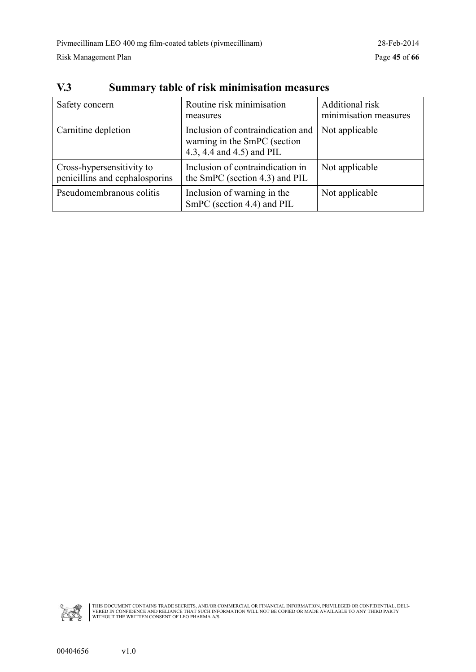| Safety concern                                              | Routine risk minimisation<br>measures                                                          | Additional risk<br>minimisation measures |
|-------------------------------------------------------------|------------------------------------------------------------------------------------------------|------------------------------------------|
| Carnitine depletion                                         | Inclusion of contraindication and<br>warning in the SmPC (section<br>4.3, 4.4 and 4.5) and PIL | Not applicable                           |
| Cross-hypersensitivity to<br>penicillins and cephalosporins | Inclusion of contraindication in<br>the SmPC (section 4.3) and PIL                             | Not applicable                           |
| Pseudomembranous colitis                                    | Inclusion of warning in the<br>SmPC (section 4.4) and PIL                                      | Not applicable                           |

### <span id="page-44-0"></span>**V.3 Summary table of risk minimisation measures**

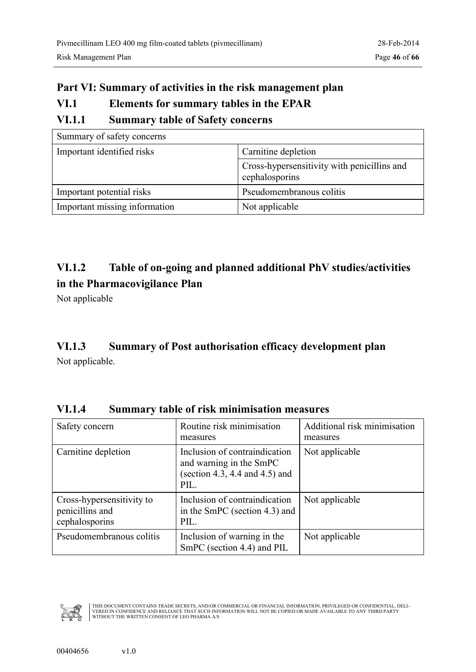### <span id="page-45-0"></span>**Part VI: Summary of activities in the risk management plan VI.1 Elements for summary tables in the EPAR VI.1.1 Summary table of Safety concerns**

| Summary of safety concerns    |                                                               |
|-------------------------------|---------------------------------------------------------------|
| Important identified risks    | Carnitine depletion                                           |
|                               | Cross-hypersensitivity with penicillins and<br>cephalosporins |
| Important potential risks     | Pseudomembranous colitis                                      |
| Important missing information | Not applicable                                                |

### **VI.1.2 Table of on-going and planned additional PhV studies/activities in the Pharmacovigilance Plan**

Not applicable

### **VI.1.3 Summary of Post authorisation efficacy development plan**

Not applicable.

| Safety concern                                                 | Routine risk minimisation<br>measures                                                                 | Additional risk minimisation<br>measures |
|----------------------------------------------------------------|-------------------------------------------------------------------------------------------------------|------------------------------------------|
| Carnitine depletion                                            | Inclusion of contraindication<br>and warning in the SmPC<br>(section 4.3, 4.4 and 4.5) and<br>$PII$ . | Not applicable                           |
| Cross-hypersensitivity to<br>penicillins and<br>cephalosporins | Inclusion of contraindication<br>in the SmPC (section 4.3) and<br>PIL.                                | Not applicable                           |
| Pseudomembranous colitis                                       | Inclusion of warning in the<br>SmPC (section 4.4) and PIL                                             | Not applicable                           |

**VI.1.4 Summary table of risk minimisation measures**

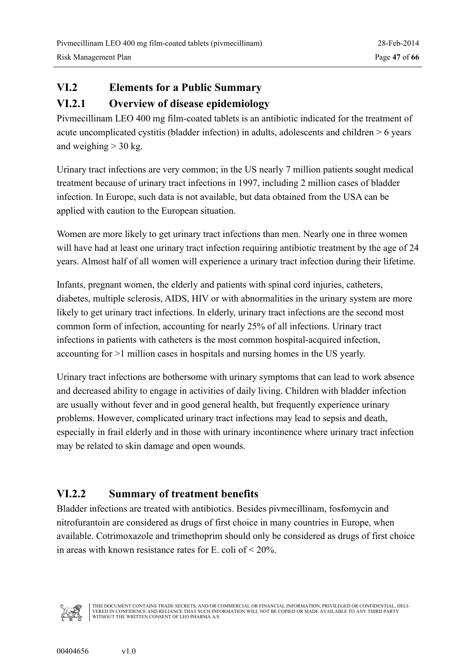### <span id="page-46-0"></span>**VI.2 Elements for a Public Summary**

### **VI.2.1 Overview of disease epidemiology**

Pivmecillinam LEO 400 mg film-coated tablets is an antibiotic indicated for the treatment of acute uncomplicated cystitis (bladder infection) in adults, adolescents and children > 6 years and weighing  $>$  30 kg.

Urinary tract infections are very common; in the US nearly 7 million patients sought medical treatment because of urinary tract infections in 1997, including 2 million cases of bladder infection. In Europe, such data is not available, but data obtained from the USA can be applied with caution to the European situation.

Women are more likely to get urinary tract infections than men. Nearly one in three women will have had at least one urinary tract infection requiring antibiotic treatment by the age of 24 years. Almost half of all women will experience a urinary tract infection during their lifetime.

Infants, pregnant women, the elderly and patients with spinal cord injuries, catheters, diabetes, multiple sclerosis, AIDS, HIV or with abnormalities in the urinary system are more likely to get urinary tract infections. In elderly, urinary tract infections are the second most common form of infection, accounting for nearly 25% of all infections. Urinary tract infections in patients with catheters is the most common hospital-acquired infection, accounting for >1 million cases in hospitals and nursing homes in the US yearly.

Urinary tract infections are bothersome with urinary symptoms that can lead to work absence and decreased ability to engage in activities of daily living. Children with bladder infection are usually without fever and in good general health, but frequently experience urinary problems. However, complicated urinary tract infections may lead to sepsis and death, especially in frail elderly and in those with urinary incontinence where urinary tract infection may be related to skin damage and open wounds.

### **VI.2.2 Summary of treatment benefits**

Bladder infections are treated with antibiotics. Besides pivmecillinam, fosfomycin and nitrofurantoin are considered as drugs of first choice in many countries in Europe, when available. Cotrimoxazole and trimethoprim should only be considered as drugs of first choice in areas with known resistance rates for E. coli of  $\leq 20\%$ .

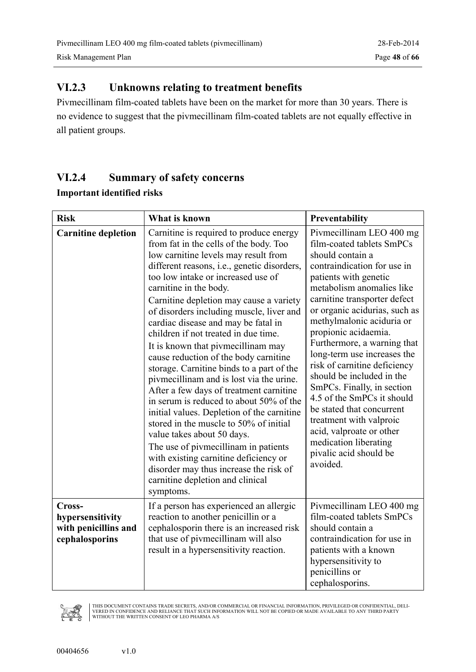### <span id="page-47-0"></span>**VI.2.3 Unknowns relating to treatment benefits**

Pivmecillinam film-coated tablets have been on the market for more than 30 years. There is no evidence to suggest that the pivmecillinam film-coated tablets are not equally effective in all patient groups.

### **VI.2.4 Summary of safety concerns**

| <b>Important identified risks</b> |  |
|-----------------------------------|--|
|-----------------------------------|--|

| <b>Risk</b>                                                          | What is known                                                                                                                                                                                                                                                                                                                                                                                                                                                                                                                                                                                                                                                                                                                                                                                                                                                                                                                                                                  | Preventability                                                                                                                                                                                                                                                                                                                                                                                                                                                                                                                                                                                                                 |
|----------------------------------------------------------------------|--------------------------------------------------------------------------------------------------------------------------------------------------------------------------------------------------------------------------------------------------------------------------------------------------------------------------------------------------------------------------------------------------------------------------------------------------------------------------------------------------------------------------------------------------------------------------------------------------------------------------------------------------------------------------------------------------------------------------------------------------------------------------------------------------------------------------------------------------------------------------------------------------------------------------------------------------------------------------------|--------------------------------------------------------------------------------------------------------------------------------------------------------------------------------------------------------------------------------------------------------------------------------------------------------------------------------------------------------------------------------------------------------------------------------------------------------------------------------------------------------------------------------------------------------------------------------------------------------------------------------|
| <b>Carnitine depletion</b>                                           | Carnitine is required to produce energy<br>from fat in the cells of the body. Too<br>low carnitine levels may result from<br>different reasons, i.e., genetic disorders,<br>too low intake or increased use of<br>carnitine in the body.<br>Carnitine depletion may cause a variety<br>of disorders including muscle, liver and<br>cardiac disease and may be fatal in<br>children if not treated in due time.<br>It is known that pivmecillinam may<br>cause reduction of the body carnitine<br>storage. Carnitine binds to a part of the<br>pivmecillinam and is lost via the urine.<br>After a few days of treatment carnitine<br>in serum is reduced to about 50% of the<br>initial values. Depletion of the carnitine<br>stored in the muscle to 50% of initial<br>value takes about 50 days.<br>The use of pivmecillinam in patients<br>with existing carnitine deficiency or<br>disorder may thus increase the risk of<br>carnitine depletion and clinical<br>symptoms. | Pivmecillinam LEO 400 mg<br>film-coated tablets SmPCs<br>should contain a<br>contraindication for use in<br>patients with genetic<br>metabolism anomalies like<br>carnitine transporter defect<br>or organic acidurias, such as<br>methylmalonic aciduria or<br>propionic acidaemia.<br>Furthermore, a warning that<br>long-term use increases the<br>risk of carnitine deficiency<br>should be included in the<br>SmPCs. Finally, in section<br>4.5 of the SmPCs it should<br>be stated that concurrent<br>treatment with valproic<br>acid, valproate or other<br>medication liberating<br>pivalic acid should be<br>avoided. |
| Cross-<br>hypersensitivity<br>with penicillins and<br>cephalosporins | If a person has experienced an allergic<br>reaction to another penicillin or a<br>cephalosporin there is an increased risk<br>that use of pivmecillinam will also<br>result in a hypersensitivity reaction.                                                                                                                                                                                                                                                                                                                                                                                                                                                                                                                                                                                                                                                                                                                                                                    | Pivmecillinam LEO 400 mg<br>film-coated tablets SmPCs<br>should contain a<br>contraindication for use in<br>patients with a known<br>hypersensitivity to<br>penicillins or<br>cephalosporins.                                                                                                                                                                                                                                                                                                                                                                                                                                  |

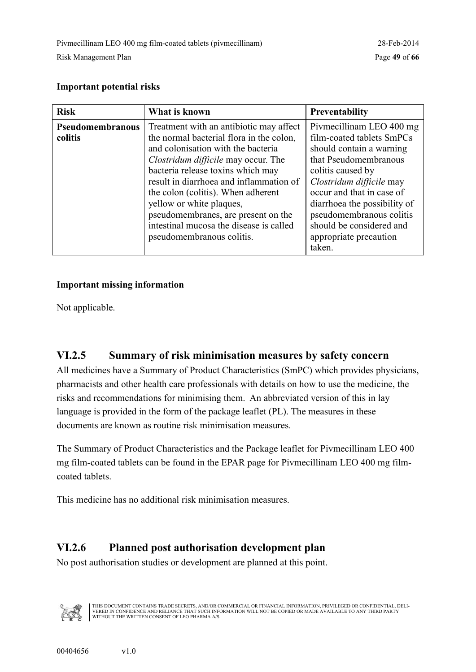#### <span id="page-48-0"></span>**Important potential risks**

| <b>Risk</b>                 | What is known                                                                                                                                                                                                                                                                                                                                                                                                                            | <b>Preventability</b>                                                                                                                                                                                                                                                                                                |
|-----------------------------|------------------------------------------------------------------------------------------------------------------------------------------------------------------------------------------------------------------------------------------------------------------------------------------------------------------------------------------------------------------------------------------------------------------------------------------|----------------------------------------------------------------------------------------------------------------------------------------------------------------------------------------------------------------------------------------------------------------------------------------------------------------------|
| Pseudomembranous<br>colitis | Treatment with an antibiotic may affect<br>the normal bacterial flora in the colon,<br>and colonisation with the bacteria<br><i>Clostridum difficile</i> may occur. The<br>bacteria release toxins which may<br>result in diarrhoea and inflammation of<br>the colon (colitis). When adherent<br>yellow or white plaques,<br>pseudomembranes, are present on the<br>intestinal mucosa the disease is called<br>pseudomembranous colitis. | Pivmecillinam LEO 400 mg<br>film-coated tablets SmPCs<br>should contain a warning<br>that Pseudomembranous<br>colitis caused by<br>Clostridum difficile may<br>occur and that in case of<br>diarrhoea the possibility of<br>pseudomembranous colitis<br>should be considered and<br>appropriate precaution<br>taken. |

#### **Important missing information**

Not applicable.

### **VI.2.5 Summary of risk minimisation measures by safety concern**

All medicines have a Summary of Product Characteristics (SmPC) which provides physicians, pharmacists and other health care professionals with details on how to use the medicine, the risks and recommendations for minimising them. An abbreviated version of this in lay language is provided in the form of the package leaflet (PL). The measures in these documents are known as routine risk minimisation measures.

The Summary of Product Characteristics and the Package leaflet for Pivmecillinam LEO 400 mg film-coated tablets can be found in the EPAR page for Pivmecillinam LEO 400 mg filmcoated tablets.

This medicine has no additional risk minimisation measures.

#### **VI.2.6 Planned post authorisation development plan**

No post authorisation studies or development are planned at this point.

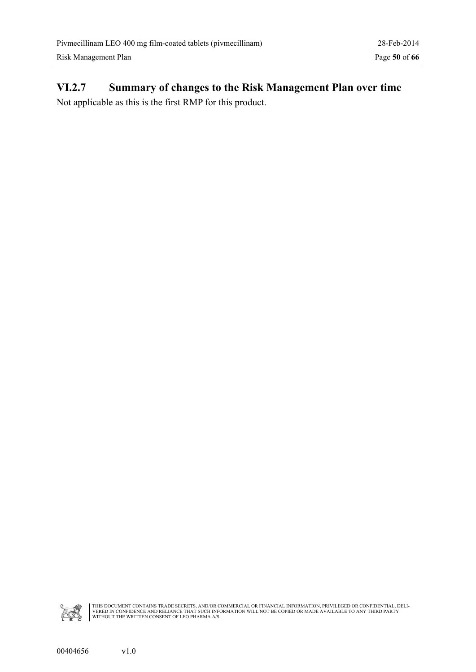# <span id="page-49-0"></span>**VI.2.7 Summary of changes to the Risk Management Plan over time**

Not applicable as this is the first RMP for this product.

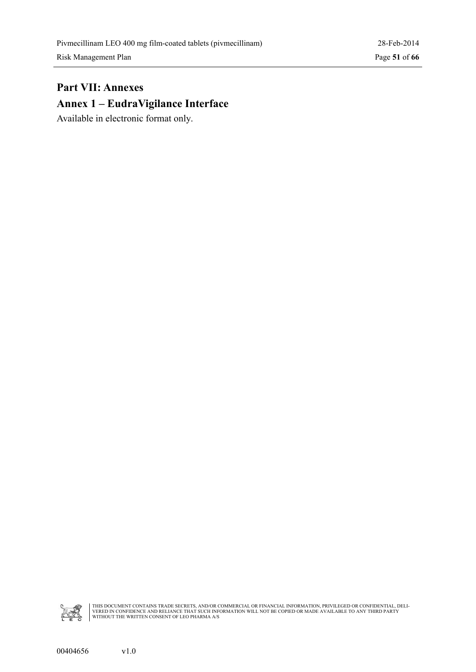### <span id="page-50-0"></span>**Part VII: Annexes Annex 1 – EudraVigilance Interface**

Available in electronic format only.

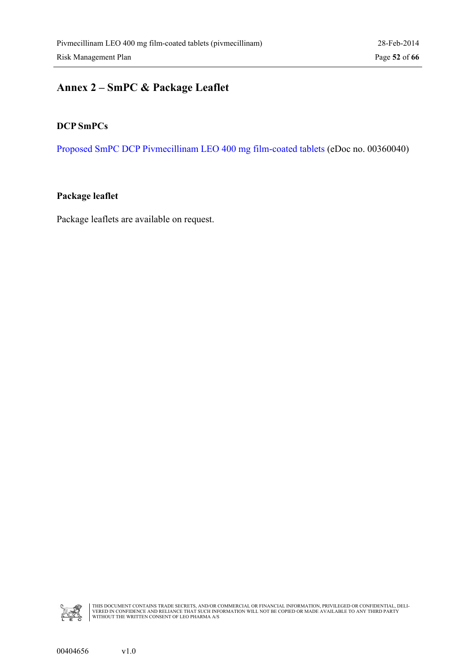# <span id="page-51-0"></span>**Annex 2 – SmPC & Package Leaflet**

#### **DCP SmPCs**

[Proposed SmPC DCP Pivmecillinam LEO 400 mg film-coated tablets](#page-0-0) (eDoc no. 00360040)

#### **Package leaflet**

Package leaflets are available on request.

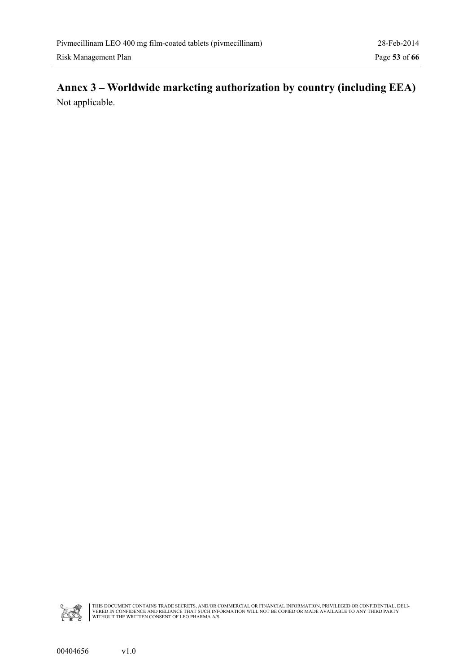### <span id="page-52-0"></span>**Annex 3 – Worldwide marketing authorization by country (including EEA)** Not applicable.

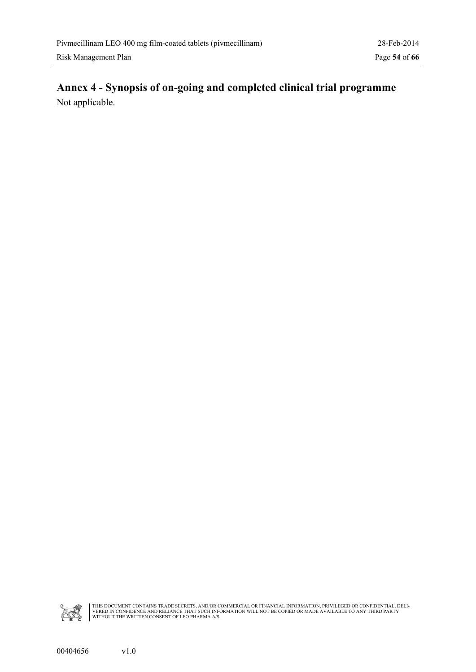### <span id="page-53-0"></span>**Annex 4 - Synopsis of on-going and completed clinical trial programme** Not applicable.

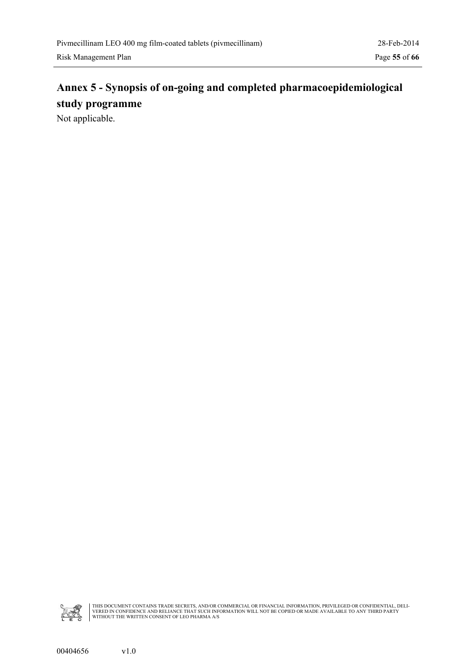# <span id="page-54-0"></span>**Annex 5 - Synopsis of on-going and completed pharmacoepidemiological study programme**

Not applicable.

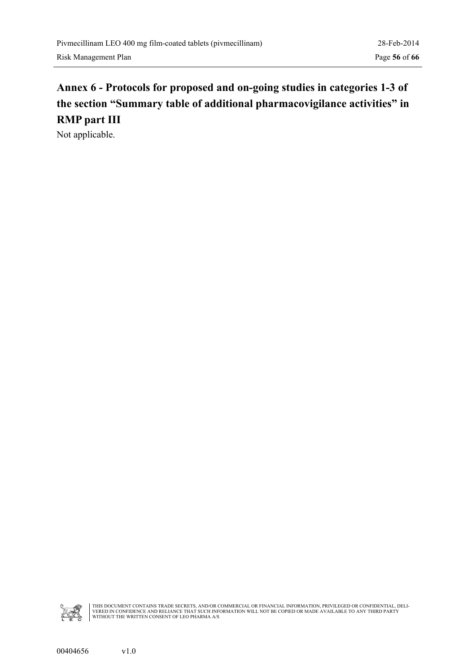# <span id="page-55-0"></span>**Annex 6 - Protocols for proposed and on-going studies in categories 1-3 of the section "Summary table of additional pharmacovigilance activities" in RMP part III**

Not applicable.

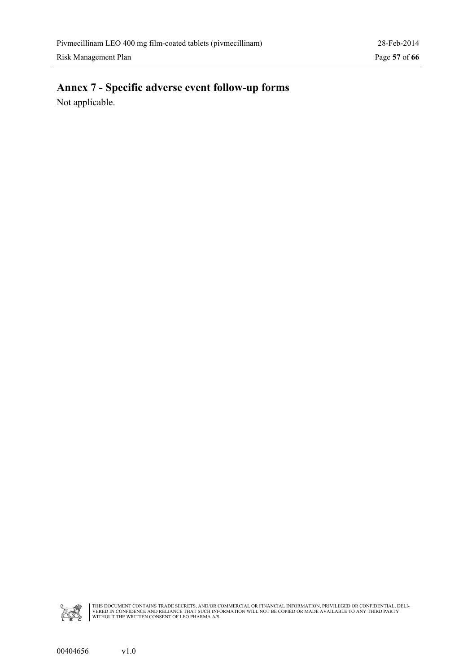### <span id="page-56-0"></span>**Annex 7 - Specific adverse event follow-up forms** Not applicable.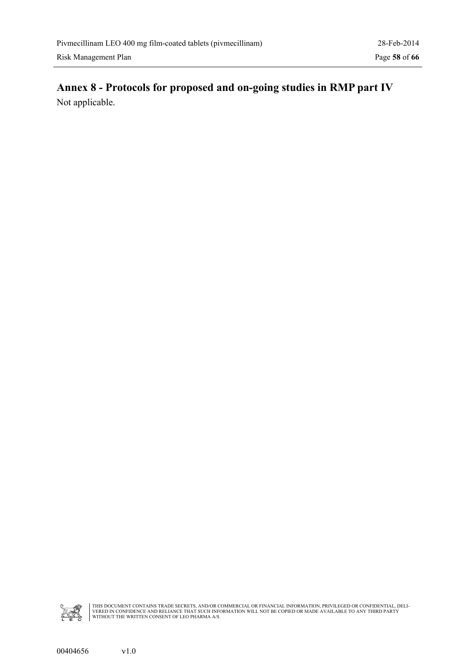### <span id="page-57-0"></span>**Annex 8 - Protocols for proposed and on-going studies in RMP part IV** Not applicable.

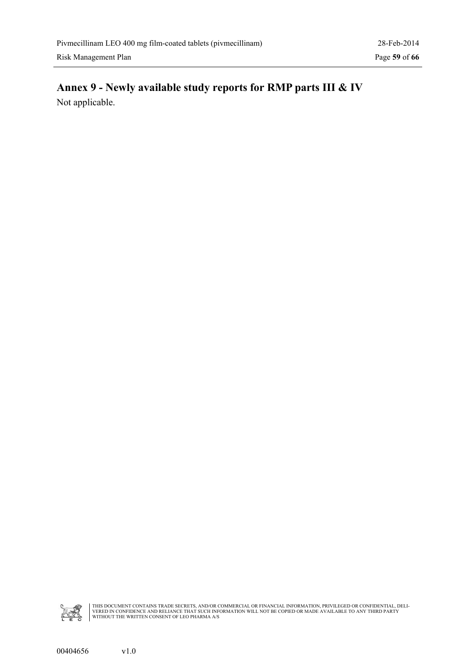### <span id="page-58-0"></span>**Annex 9 - Newly available study reports for RMP parts III & IV** Not applicable.

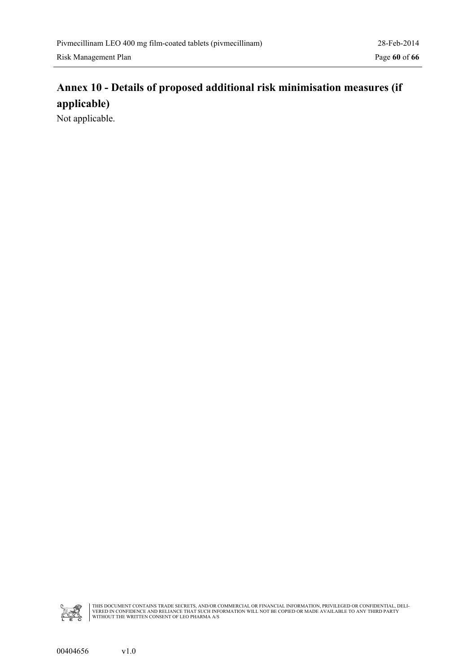### <span id="page-59-0"></span>**Annex 10 - Details of proposed additional risk minimisation measures (if applicable)**

Not applicable.

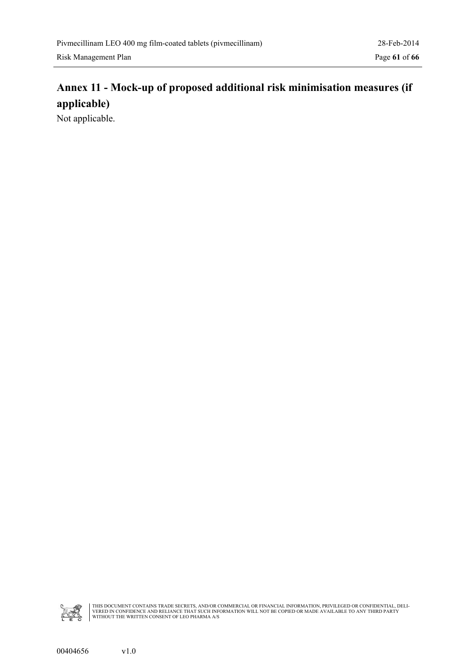### <span id="page-60-0"></span>**Annex 11 - Mock-up of proposed additional risk minimisation measures (if applicable)**

Not applicable.

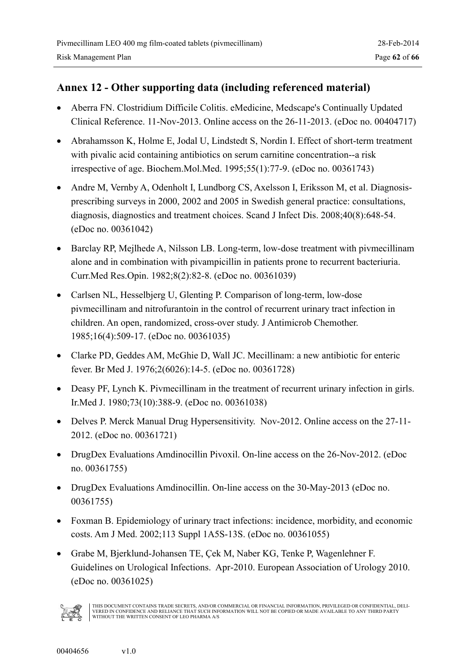#### <span id="page-61-0"></span>**Annex 12 - Other supporting data (including referenced material)**

- Aberra FN. Clostridium Difficile Colitis. eMedicine, Medscape's Continually Updated Clinical Reference. 11-Nov-2013. Online access on the 26-11-2013. (eDoc no. 00404717)
- Abrahamsson K, Holme E, Jodal U, Lindstedt S, Nordin I. Effect of short-term treatment with pivalic acid containing antibiotics on serum carnitine concentration--a risk irrespective of age. Biochem.Mol.Med. 1995;55(1):77-9. (eDoc no. 00361743)
- Andre M, Vernby A, Odenholt I, Lundborg CS, Axelsson I, Eriksson M, et al. Diagnosisprescribing surveys in 2000, 2002 and 2005 in Swedish general practice: consultations, diagnosis, diagnostics and treatment choices. Scand J Infect Dis. 2008;40(8):648-54. (eDoc no. 00361042)
- Barclay RP, Mejlhede A, Nilsson LB. Long-term, low-dose treatment with pivmecillinam alone and in combination with pivampicillin in patients prone to recurrent bacteriuria. Curr.Med Res.Opin. 1982;8(2):82-8. (eDoc no. 00361039)
- Carlsen NL, Hesselbjerg U, Glenting P. Comparison of long-term, low-dose pivmecillinam and nitrofurantoin in the control of recurrent urinary tract infection in children. An open, randomized, cross-over study. J Antimicrob Chemother. 1985;16(4):509-17. (eDoc no. 00361035)
- Clarke PD, Geddes AM, McGhie D, Wall JC. Mecillinam: a new antibiotic for enteric fever. Br Med J. 1976;2(6026):14-5. (eDoc no. 00361728)
- Deasy PF, Lynch K. Pivmecillinam in the treatment of recurrent urinary infection in girls. Ir.Med J. 1980;73(10):388-9. (eDoc no. 00361038)
- Delves P. Merck Manual Drug Hypersensitivity. Nov-2012. Online access on the 27-11- 2012. (eDoc no. 00361721)
- DrugDex Evaluations Amdinocillin Pivoxil. On-line access on the 26-Nov-2012. (eDoc no. 00361755)
- DrugDex Evaluations Amdinocillin. On-line access on the 30-May-2013 (eDoc no. 00361755)
- Foxman B. Epidemiology of urinary tract infections: incidence, morbidity, and economic costs. Am J Med. 2002;113 Suppl 1A5S-13S. (eDoc no. 00361055)
- Grabe M, Bjerklund-Johansen TE, Çek M, Naber KG, Tenke P, Wagenlehner F. Guidelines on Urological Infections. Apr-2010. European Association of Urology 2010. (eDoc no. 00361025)

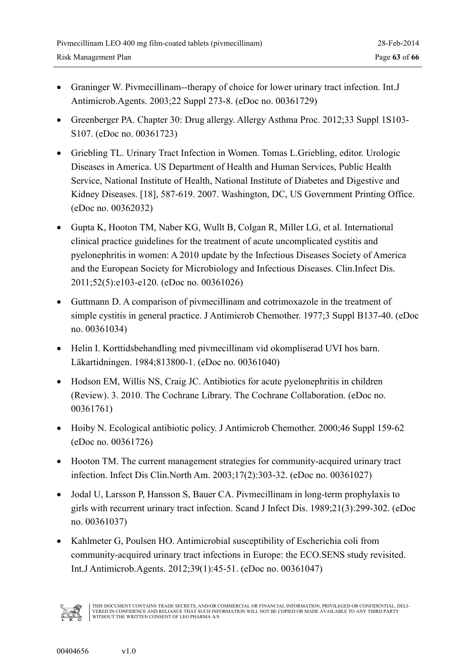- Graninger W. Pivmecillinam--therapy of choice for lower urinary tract infection. Int.J Antimicrob.Agents. 2003;22 Suppl 273-8. (eDoc no. 00361729)
- Greenberger PA. Chapter 30: Drug allergy. Allergy Asthma Proc. 2012;33 Suppl 1S103- S107. (eDoc no. 00361723)
- Griebling TL. Urinary Tract Infection in Women. Tomas L.Griebling, editor. Urologic Diseases in America. US Department of Health and Human Services, Public Health Service, National Institute of Health, National Institute of Diabetes and Digestive and Kidney Diseases. [18], 587-619. 2007. Washington, DC, US Government Printing Office. (eDoc no. 00362032)
- Gupta K, Hooton TM, Naber KG, Wullt B, Colgan R, Miller LG, et al. International clinical practice guidelines for the treatment of acute uncomplicated cystitis and pyelonephritis in women: A 2010 update by the Infectious Diseases Society of America and the European Society for Microbiology and Infectious Diseases. Clin.Infect Dis. 2011;52(5):e103-e120. (eDoc no. 00361026)
- Guttmann D. A comparison of pivmecillinam and cotrimoxazole in the treatment of simple cystitis in general practice. J Antimicrob Chemother. 1977;3 Suppl B137-40. (eDoc no. 00361034)
- Helin I. Korttidsbehandling med pivmecillinam vid okompliserad UVI hos barn. Läkartidningen. 1984;813800-1. (eDoc no. 00361040)
- Hodson EM, Willis NS, Craig JC. Antibiotics for acute pyelonephritis in children (Review). 3. 2010. The Cochrane Library. The Cochrane Collaboration. (eDoc no. 00361761)
- Hoiby N. Ecological antibiotic policy. J Antimicrob Chemother. 2000;46 Suppl 159-62 (eDoc no. 00361726)
- Hooton TM. The current management strategies for community-acquired urinary tract infection. Infect Dis Clin.North Am. 2003;17(2):303-32. (eDoc no. 00361027)
- Jodal U, Larsson P, Hansson S, Bauer CA. Pivmecillinam in long-term prophylaxis to girls with recurrent urinary tract infection. Scand J Infect Dis. 1989;21(3):299-302. (eDoc no. 00361037)
- Kahlmeter G, Poulsen HO. Antimicrobial susceptibility of Escherichia coli from community-acquired urinary tract infections in Europe: the ECO.SENS study revisited. Int.J Antimicrob.Agents. 2012;39(1):45-51. (eDoc no. 00361047)

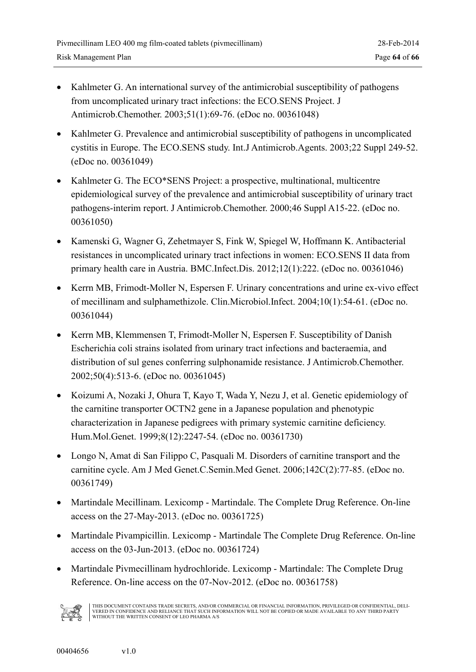- Kahlmeter G. An international survey of the antimicrobial susceptibility of pathogens from uncomplicated urinary tract infections: the ECO.SENS Project. J Antimicrob.Chemother. 2003;51(1):69-76. (eDoc no. 00361048)
- Kahlmeter G. Prevalence and antimicrobial susceptibility of pathogens in uncomplicated cystitis in Europe. The ECO.SENS study. Int.J Antimicrob.Agents. 2003;22 Suppl 249-52. (eDoc no. 00361049)
- Kahlmeter G. The ECO\*SENS Project: a prospective, multinational, multicentre epidemiological survey of the prevalence and antimicrobial susceptibility of urinary tract pathogens-interim report. J Antimicrob.Chemother. 2000;46 Suppl A15-22. (eDoc no. 00361050)
- Kamenski G, Wagner G, Zehetmayer S, Fink W, Spiegel W, Hoffmann K. Antibacterial resistances in uncomplicated urinary tract infections in women: ECO.SENS II data from primary health care in Austria. BMC.Infect.Dis. 2012;12(1):222. (eDoc no. 00361046)
- Kerrn MB, Frimodt-Moller N, Espersen F. Urinary concentrations and urine ex-vivo effect of mecillinam and sulphamethizole. Clin.Microbiol.Infect. 2004;10(1):54-61. (eDoc no. 00361044)
- Kerrn MB, Klemmensen T, Frimodt-Moller N, Espersen F. Susceptibility of Danish Escherichia coli strains isolated from urinary tract infections and bacteraemia, and distribution of sul genes conferring sulphonamide resistance. J Antimicrob.Chemother. 2002;50(4):513-6. (eDoc no. 00361045)
- Koizumi A, Nozaki J, Ohura T, Kayo T, Wada Y, Nezu J, et al. Genetic epidemiology of the carnitine transporter OCTN2 gene in a Japanese population and phenotypic characterization in Japanese pedigrees with primary systemic carnitine deficiency. Hum.Mol.Genet. 1999;8(12):2247-54. (eDoc no. 00361730)
- Longo N, Amat di San Filippo C, Pasquali M. Disorders of carnitine transport and the carnitine cycle. Am J Med Genet.C.Semin.Med Genet. 2006;142C(2):77-85. (eDoc no. 00361749)
- Martindale Mecillinam. Lexicomp Martindale. The Complete Drug Reference. On-line access on the 27-May-2013. (eDoc no. 00361725)
- Martindale Pivampicillin. Lexicomp Martindale The Complete Drug Reference. On-line access on the 03-Jun-2013. (eDoc no. 00361724)
- Martindale Pivmecillinam hydrochloride. Lexicomp Martindale: The Complete Drug Reference. On-line access on the 07-Nov-2012. (eDoc no. 00361758)

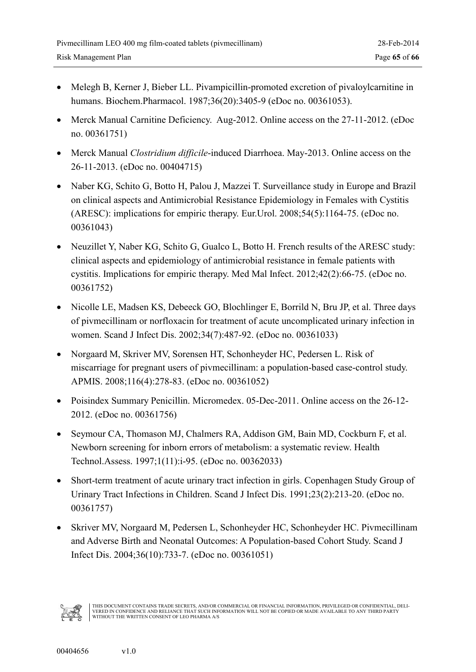- Melegh B, Kerner J, Bieber LL. Pivampicillin-promoted excretion of pivaloylcarnitine in humans. Biochem.Pharmacol. 1987;36(20):3405-9 (eDoc no. 00361053).
- Merck Manual Carnitine Deficiency. Aug-2012. Online access on the 27-11-2012. (eDoc no. 00361751)
- Merck Manual *Clostridium difficile*-induced Diarrhoea. May-2013. Online access on the 26-11-2013. (eDoc no. 00404715)
- Naber KG, Schito G, Botto H, Palou J, Mazzei T. Surveillance study in Europe and Brazil on clinical aspects and Antimicrobial Resistance Epidemiology in Females with Cystitis (ARESC): implications for empiric therapy. Eur.Urol. 2008;54(5):1164-75. (eDoc no. 00361043)
- Neuzillet Y, Naber KG, Schito G, Gualco L, Botto H. French results of the ARESC study: clinical aspects and epidemiology of antimicrobial resistance in female patients with cystitis. Implications for empiric therapy. Med Mal Infect. 2012;42(2):66-75. (eDoc no. 00361752)
- Nicolle LE, Madsen KS, Debeeck GO, Blochlinger E, Borrild N, Bru JP, et al. Three days of pivmecillinam or norfloxacin for treatment of acute uncomplicated urinary infection in women. Scand J Infect Dis. 2002;34(7):487-92. (eDoc no. 00361033)
- Norgaard M, Skriver MV, Sorensen HT, Schonheyder HC, Pedersen L. Risk of miscarriage for pregnant users of pivmecillinam: a population-based case-control study. APMIS. 2008;116(4):278-83. (eDoc no. 00361052)
- Poisindex Summary Penicillin. Micromedex. 05-Dec-2011. Online access on the 26-12- 2012. (eDoc no. 00361756)
- Seymour CA, Thomason MJ, Chalmers RA, Addison GM, Bain MD, Cockburn F, et al. Newborn screening for inborn errors of metabolism: a systematic review. Health Technol.Assess. 1997;1(11):i-95. (eDoc no. 00362033)
- Short-term treatment of acute urinary tract infection in girls. Copenhagen Study Group of Urinary Tract Infections in Children. Scand J Infect Dis. 1991;23(2):213-20. (eDoc no. 00361757)
- Skriver MV, Norgaard M, Pedersen L, Schonheyder HC, Schonheyder HC. Pivmecillinam and Adverse Birth and Neonatal Outcomes: A Population-based Cohort Study. Scand J Infect Dis. 2004;36(10):733-7. (eDoc no. 00361051)

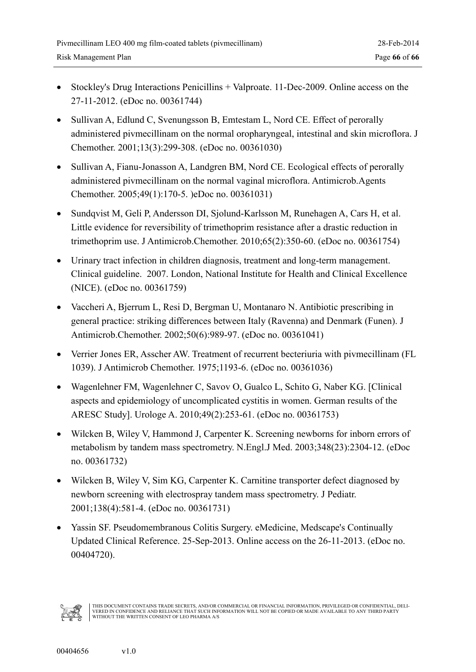- Stockley's Drug Interactions Penicillins + Valproate. 11-Dec-2009. Online access on the 27-11-2012. (eDoc no. 00361744)
- Sullivan A, Edlund C, Svenungsson B, Emtestam L, Nord CE. Effect of perorally administered pivmecillinam on the normal oropharyngeal, intestinal and skin microflora. J Chemother. 2001;13(3):299-308. (eDoc no. 00361030)
- Sullivan A, Fianu-Jonasson A, Landgren BM, Nord CE. Ecological effects of perorally administered pivmecillinam on the normal vaginal microflora. Antimicrob.Agents Chemother. 2005;49(1):170-5. )eDoc no. 00361031)
- Sundqvist M, Geli P, Andersson DI, Sjolund-Karlsson M, Runehagen A, Cars H, et al. Little evidence for reversibility of trimethoprim resistance after a drastic reduction in trimethoprim use. J Antimicrob.Chemother. 2010;65(2):350-60. (eDoc no. 00361754)
- Urinary tract infection in children diagnosis, treatment and long-term management. Clinical guideline. 2007. London, National Institute for Health and Clinical Excellence (NICE). (eDoc no. 00361759)
- Vaccheri A, Bjerrum L, Resi D, Bergman U, Montanaro N. Antibiotic prescribing in general practice: striking differences between Italy (Ravenna) and Denmark (Funen). J Antimicrob.Chemother. 2002;50(6):989-97. (eDoc no. 00361041)
- Verrier Jones ER, Asscher AW. Treatment of recurrent becteriuria with pivmecillinam (FL 1039). J Antimicrob Chemother. 1975;1193-6. (eDoc no. 00361036)
- Wagenlehner FM, Wagenlehner C, Savov O, Gualco L, Schito G, Naber KG. [Clinical aspects and epidemiology of uncomplicated cystitis in women. German results of the ARESC Study]. Urologe A. 2010;49(2):253-61. (eDoc no. 00361753)
- Wilcken B, Wiley V, Hammond J, Carpenter K. Screening newborns for inborn errors of metabolism by tandem mass spectrometry. N.Engl.J Med. 2003;348(23):2304-12. (eDoc no. 00361732)
- Wilcken B, Wiley V, Sim KG, Carpenter K. Carnitine transporter defect diagnosed by newborn screening with electrospray tandem mass spectrometry. J Pediatr. 2001;138(4):581-4. (eDoc no. 00361731)
- Yassin SF. Pseudomembranous Colitis Surgery. eMedicine, Medscape's Continually Updated Clinical Reference. 25-Sep-2013. Online access on the 26-11-2013. (eDoc no. 00404720).